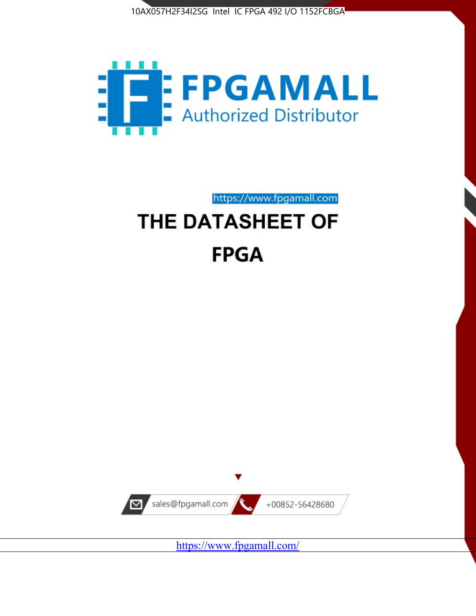



https://www.fpgamall.com

# THE DATASHEET OF **FPGA**



<https://www.fpgamall.com/>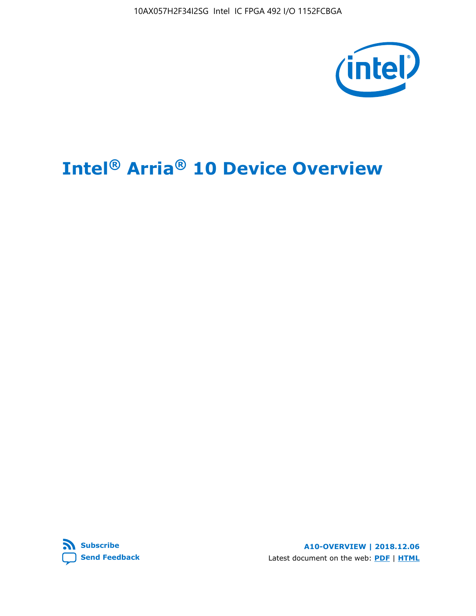10AX057H2F34I2SG Intel IC FPGA 492 I/O 1152FCBGA



# **Intel® Arria® 10 Device Overview**



**A10-OVERVIEW | 2018.12.06** Latest document on the web: **[PDF](https://www.intel.com/content/dam/www/programmable/us/en/pdfs/literature/hb/arria-10/a10_overview.pdf)** | **[HTML](https://www.intel.com/content/www/us/en/programmable/documentation/sam1403480274650.html)**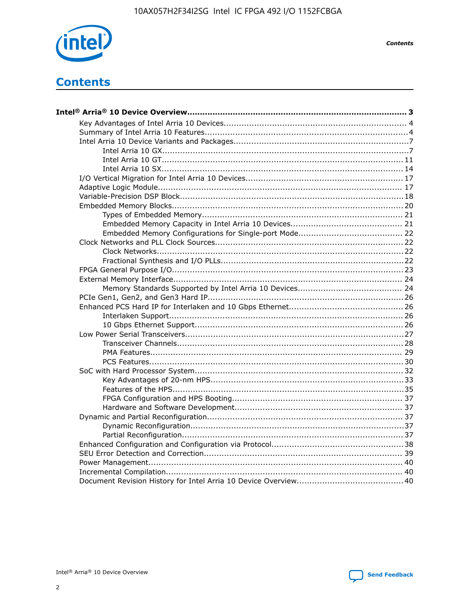

**Contents** 

# **Contents**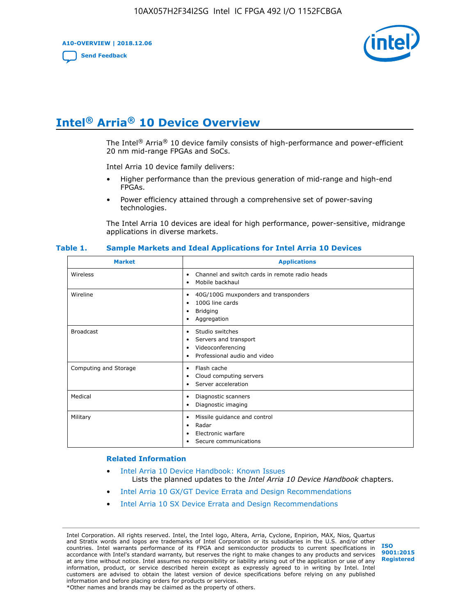**A10-OVERVIEW | 2018.12.06**

**[Send Feedback](mailto:FPGAtechdocfeedback@intel.com?subject=Feedback%20on%20Intel%20Arria%2010%20Device%20Overview%20(A10-OVERVIEW%202018.12.06)&body=We%20appreciate%20your%20feedback.%20In%20your%20comments,%20also%20specify%20the%20page%20number%20or%20paragraph.%20Thank%20you.)**



# **Intel® Arria® 10 Device Overview**

The Intel<sup>®</sup> Arria<sup>®</sup> 10 device family consists of high-performance and power-efficient 20 nm mid-range FPGAs and SoCs.

Intel Arria 10 device family delivers:

- Higher performance than the previous generation of mid-range and high-end FPGAs.
- Power efficiency attained through a comprehensive set of power-saving technologies.

The Intel Arria 10 devices are ideal for high performance, power-sensitive, midrange applications in diverse markets.

| <b>Market</b>         | <b>Applications</b>                                                                                               |
|-----------------------|-------------------------------------------------------------------------------------------------------------------|
| Wireless              | Channel and switch cards in remote radio heads<br>٠<br>Mobile backhaul<br>$\bullet$                               |
| Wireline              | 40G/100G muxponders and transponders<br>٠<br>100G line cards<br>٠<br><b>Bridging</b><br>٠<br>Aggregation<br>٠     |
| <b>Broadcast</b>      | Studio switches<br>٠<br>Servers and transport<br>٠<br>Videoconferencing<br>٠<br>Professional audio and video<br>٠ |
| Computing and Storage | Flash cache<br>٠<br>Cloud computing servers<br>٠<br>Server acceleration<br>٠                                      |
| Medical               | Diagnostic scanners<br>٠<br>Diagnostic imaging<br>٠                                                               |
| Military              | Missile guidance and control<br>٠<br>Radar<br>٠<br>Electronic warfare<br>٠<br>Secure communications               |

#### **Table 1. Sample Markets and Ideal Applications for Intel Arria 10 Devices**

#### **Related Information**

- [Intel Arria 10 Device Handbook: Known Issues](http://www.altera.com/support/kdb/solutions/rd07302013_646.html) Lists the planned updates to the *Intel Arria 10 Device Handbook* chapters.
- [Intel Arria 10 GX/GT Device Errata and Design Recommendations](https://www.intel.com/content/www/us/en/programmable/documentation/agz1493851706374.html#yqz1494433888646)
- [Intel Arria 10 SX Device Errata and Design Recommendations](https://www.intel.com/content/www/us/en/programmable/documentation/cru1462832385668.html#cru1462832558642)

Intel Corporation. All rights reserved. Intel, the Intel logo, Altera, Arria, Cyclone, Enpirion, MAX, Nios, Quartus and Stratix words and logos are trademarks of Intel Corporation or its subsidiaries in the U.S. and/or other countries. Intel warrants performance of its FPGA and semiconductor products to current specifications in accordance with Intel's standard warranty, but reserves the right to make changes to any products and services at any time without notice. Intel assumes no responsibility or liability arising out of the application or use of any information, product, or service described herein except as expressly agreed to in writing by Intel. Intel customers are advised to obtain the latest version of device specifications before relying on any published information and before placing orders for products or services. \*Other names and brands may be claimed as the property of others.

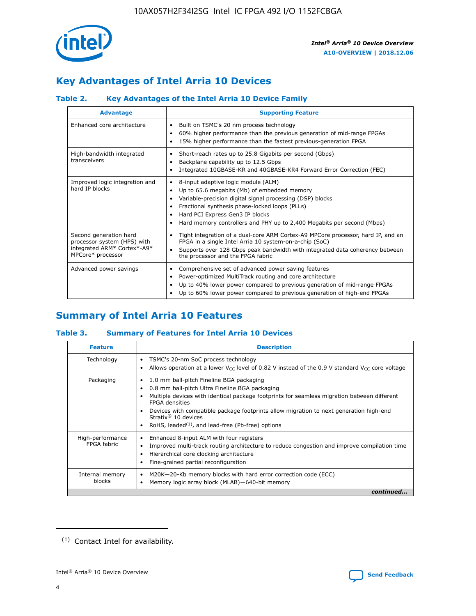

# **Key Advantages of Intel Arria 10 Devices**

## **Table 2. Key Advantages of the Intel Arria 10 Device Family**

| <b>Advantage</b>                                                                                          | <b>Supporting Feature</b>                                                                                                                                                                                                                                                                                                |  |  |  |  |  |  |
|-----------------------------------------------------------------------------------------------------------|--------------------------------------------------------------------------------------------------------------------------------------------------------------------------------------------------------------------------------------------------------------------------------------------------------------------------|--|--|--|--|--|--|
| Enhanced core architecture                                                                                | Built on TSMC's 20 nm process technology<br>٠<br>60% higher performance than the previous generation of mid-range FPGAs<br>٠<br>15% higher performance than the fastest previous-generation FPGA<br>٠                                                                                                                    |  |  |  |  |  |  |
| High-bandwidth integrated<br>transceivers                                                                 | Short-reach rates up to 25.8 Gigabits per second (Gbps)<br>٠<br>Backplane capability up to 12.5 Gbps<br>٠<br>Integrated 10GBASE-KR and 40GBASE-KR4 Forward Error Correction (FEC)<br>٠                                                                                                                                   |  |  |  |  |  |  |
| Improved logic integration and<br>hard IP blocks                                                          | 8-input adaptive logic module (ALM)<br>٠<br>Up to 65.6 megabits (Mb) of embedded memory<br>٠<br>Variable-precision digital signal processing (DSP) blocks<br>Fractional synthesis phase-locked loops (PLLs)<br>Hard PCI Express Gen3 IP blocks<br>Hard memory controllers and PHY up to 2,400 Megabits per second (Mbps) |  |  |  |  |  |  |
| Second generation hard<br>processor system (HPS) with<br>integrated ARM* Cortex*-A9*<br>MPCore* processor | Tight integration of a dual-core ARM Cortex-A9 MPCore processor, hard IP, and an<br>٠<br>FPGA in a single Intel Arria 10 system-on-a-chip (SoC)<br>Supports over 128 Gbps peak bandwidth with integrated data coherency between<br>$\bullet$<br>the processor and the FPGA fabric                                        |  |  |  |  |  |  |
| Advanced power savings                                                                                    | Comprehensive set of advanced power saving features<br>٠<br>Power-optimized MultiTrack routing and core architecture<br>٠<br>Up to 40% lower power compared to previous generation of mid-range FPGAs<br>٠<br>Up to 60% lower power compared to previous generation of high-end FPGAs                                    |  |  |  |  |  |  |

# **Summary of Intel Arria 10 Features**

## **Table 3. Summary of Features for Intel Arria 10 Devices**

| <b>Feature</b>                  | <b>Description</b>                                                                                                                                                                                                                                                                                                                                                                                       |
|---------------------------------|----------------------------------------------------------------------------------------------------------------------------------------------------------------------------------------------------------------------------------------------------------------------------------------------------------------------------------------------------------------------------------------------------------|
| Technology                      | TSMC's 20-nm SoC process technology<br>٠<br>Allows operation at a lower $V_{\text{CC}}$ level of 0.82 V instead of the 0.9 V standard $V_{\text{CC}}$ core voltage                                                                                                                                                                                                                                       |
| Packaging                       | 1.0 mm ball-pitch Fineline BGA packaging<br>0.8 mm ball-pitch Ultra Fineline BGA packaging<br>Multiple devices with identical package footprints for seamless migration between different<br><b>FPGA</b> densities<br>Devices with compatible package footprints allow migration to next generation high-end<br>Stratix $\mathcal{R}$ 10 devices<br>RoHS, leaded $(1)$ , and lead-free (Pb-free) options |
| High-performance<br>FPGA fabric | Enhanced 8-input ALM with four registers<br>٠<br>Improved multi-track routing architecture to reduce congestion and improve compilation time<br>Hierarchical core clocking architecture<br>Fine-grained partial reconfiguration                                                                                                                                                                          |
| Internal memory<br>blocks       | M20K-20-Kb memory blocks with hard error correction code (ECC)<br>Memory logic array block (MLAB)-640-bit memory                                                                                                                                                                                                                                                                                         |
|                                 | continued                                                                                                                                                                                                                                                                                                                                                                                                |



<sup>(1)</sup> Contact Intel for availability.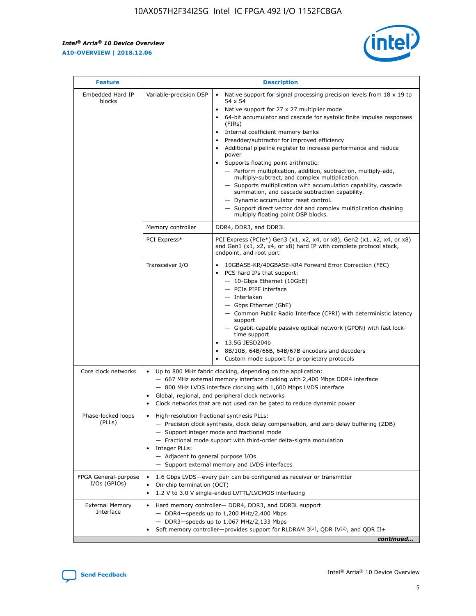r



| <b>Feature</b>                         |                                                                                                        | <b>Description</b>                                                                                                                                                                                                                                                                                                                                                                                                                                                                                                                                                                                                                                                                                                                                                                                                                                                            |
|----------------------------------------|--------------------------------------------------------------------------------------------------------|-------------------------------------------------------------------------------------------------------------------------------------------------------------------------------------------------------------------------------------------------------------------------------------------------------------------------------------------------------------------------------------------------------------------------------------------------------------------------------------------------------------------------------------------------------------------------------------------------------------------------------------------------------------------------------------------------------------------------------------------------------------------------------------------------------------------------------------------------------------------------------|
| Embedded Hard IP<br>blocks             | Variable-precision DSP                                                                                 | Native support for signal processing precision levels from $18 \times 19$ to<br>$\bullet$<br>54 x 54<br>Native support for 27 x 27 multiplier mode<br>$\bullet$<br>64-bit accumulator and cascade for systolic finite impulse responses<br>$\bullet$<br>(FIRs)<br>Internal coefficient memory banks<br>$\bullet$<br>Preadder/subtractor for improved efficiency<br>Additional pipeline register to increase performance and reduce<br>power<br>Supports floating point arithmetic:<br>- Perform multiplication, addition, subtraction, multiply-add,<br>multiply-subtract, and complex multiplication.<br>- Supports multiplication with accumulation capability, cascade<br>summation, and cascade subtraction capability.<br>- Dynamic accumulator reset control.<br>- Support direct vector dot and complex multiplication chaining<br>multiply floating point DSP blocks. |
|                                        | Memory controller                                                                                      | DDR4, DDR3, and DDR3L                                                                                                                                                                                                                                                                                                                                                                                                                                                                                                                                                                                                                                                                                                                                                                                                                                                         |
|                                        | PCI Express*                                                                                           | PCI Express (PCIe*) Gen3 (x1, x2, x4, or x8), Gen2 (x1, x2, x4, or x8)<br>and Gen1 (x1, x2, x4, or x8) hard IP with complete protocol stack,<br>endpoint, and root port                                                                                                                                                                                                                                                                                                                                                                                                                                                                                                                                                                                                                                                                                                       |
|                                        | Transceiver I/O                                                                                        | 10GBASE-KR/40GBASE-KR4 Forward Error Correction (FEC)<br>PCS hard IPs that support:<br>٠<br>- 10-Gbps Ethernet (10GbE)<br>- PCIe PIPE interface<br>- Interlaken<br>- Gbps Ethernet (GbE)<br>- Common Public Radio Interface (CPRI) with deterministic latency<br>support<br>- Gigabit-capable passive optical network (GPON) with fast lock-<br>time support<br>13.5G JESD204b<br>$\bullet$<br>8B/10B, 64B/66B, 64B/67B encoders and decoders<br>$\bullet$<br>Custom mode support for proprietary protocols                                                                                                                                                                                                                                                                                                                                                                   |
| Core clock networks                    | $\bullet$                                                                                              | Up to 800 MHz fabric clocking, depending on the application:<br>- 667 MHz external memory interface clocking with 2,400 Mbps DDR4 interface<br>- 800 MHz LVDS interface clocking with 1,600 Mbps LVDS interface<br>Global, regional, and peripheral clock networks<br>Clock networks that are not used can be gated to reduce dynamic power                                                                                                                                                                                                                                                                                                                                                                                                                                                                                                                                   |
| Phase-locked loops<br>(PLLs)           | High-resolution fractional synthesis PLLs:<br>٠<br>Integer PLLs:<br>- Adjacent to general purpose I/Os | - Precision clock synthesis, clock delay compensation, and zero delay buffering (ZDB)<br>- Support integer mode and fractional mode<br>- Fractional mode support with third-order delta-sigma modulation<br>- Support external memory and LVDS interfaces                                                                                                                                                                                                                                                                                                                                                                                                                                                                                                                                                                                                                     |
| FPGA General-purpose<br>$I/Os$ (GPIOs) | On-chip termination (OCT)<br>٠                                                                         | 1.6 Gbps LVDS-every pair can be configured as receiver or transmitter<br>1.2 V to 3.0 V single-ended LVTTL/LVCMOS interfacing                                                                                                                                                                                                                                                                                                                                                                                                                                                                                                                                                                                                                                                                                                                                                 |
| <b>External Memory</b><br>Interface    | $\bullet$                                                                                              | Hard memory controller- DDR4, DDR3, and DDR3L support<br>$-$ DDR4 $-$ speeds up to 1,200 MHz/2,400 Mbps<br>- DDR3-speeds up to 1,067 MHz/2,133 Mbps<br>Soft memory controller—provides support for RLDRAM $3^{(2)}$ , QDR IV $^{(2)}$ , and QDR II+<br>continued                                                                                                                                                                                                                                                                                                                                                                                                                                                                                                                                                                                                              |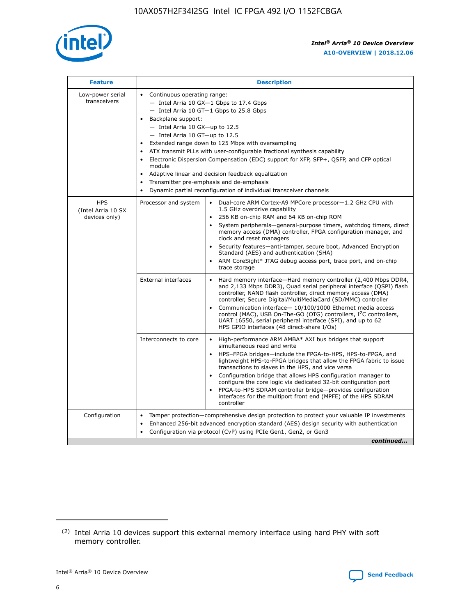

| <b>Feature</b>                                    | <b>Description</b>                                                                                                                                                                                                                                                                                                                                                                                                                                                                                                                                                                                                                           |  |  |  |  |  |  |
|---------------------------------------------------|----------------------------------------------------------------------------------------------------------------------------------------------------------------------------------------------------------------------------------------------------------------------------------------------------------------------------------------------------------------------------------------------------------------------------------------------------------------------------------------------------------------------------------------------------------------------------------------------------------------------------------------------|--|--|--|--|--|--|
| Low-power serial<br>transceivers                  | • Continuous operating range:<br>- Intel Arria 10 GX-1 Gbps to 17.4 Gbps<br>- Intel Arria 10 GT-1 Gbps to 25.8 Gbps<br>Backplane support:<br>$-$ Intel Arria 10 GX-up to 12.5<br>$-$ Intel Arria 10 GT-up to 12.5<br>Extended range down to 125 Mbps with oversampling<br>ATX transmit PLLs with user-configurable fractional synthesis capability<br>Electronic Dispersion Compensation (EDC) support for XFP, SFP+, QSFP, and CFP optical<br>module<br>• Adaptive linear and decision feedback equalization<br>Transmitter pre-emphasis and de-emphasis<br>$\bullet$<br>Dynamic partial reconfiguration of individual transceiver channels |  |  |  |  |  |  |
| <b>HPS</b><br>(Intel Arria 10 SX<br>devices only) | Dual-core ARM Cortex-A9 MPCore processor-1.2 GHz CPU with<br>Processor and system<br>$\bullet$<br>1.5 GHz overdrive capability<br>256 KB on-chip RAM and 64 KB on-chip ROM<br>System peripherals-general-purpose timers, watchdog timers, direct<br>memory access (DMA) controller, FPGA configuration manager, and<br>clock and reset managers<br>Security features-anti-tamper, secure boot, Advanced Encryption<br>$\bullet$<br>Standard (AES) and authentication (SHA)<br>ARM CoreSight* JTAG debug access port, trace port, and on-chip<br>trace storage                                                                                |  |  |  |  |  |  |
|                                                   | <b>External interfaces</b><br>Hard memory interface-Hard memory controller (2,400 Mbps DDR4,<br>$\bullet$<br>and 2,133 Mbps DDR3), Quad serial peripheral interface (QSPI) flash<br>controller, NAND flash controller, direct memory access (DMA)<br>controller, Secure Digital/MultiMediaCard (SD/MMC) controller<br>Communication interface-10/100/1000 Ethernet media access<br>$\bullet$<br>control (MAC), USB On-The-GO (OTG) controllers, I <sup>2</sup> C controllers,<br>UART 16550, serial peripheral interface (SPI), and up to 62<br>HPS GPIO interfaces (48 direct-share I/Os)                                                   |  |  |  |  |  |  |
|                                                   | High-performance ARM AMBA* AXI bus bridges that support<br>Interconnects to core<br>$\bullet$<br>simultaneous read and write<br>HPS-FPGA bridges-include the FPGA-to-HPS, HPS-to-FPGA, and<br>$\bullet$<br>lightweight HPS-to-FPGA bridges that allow the FPGA fabric to issue<br>transactions to slaves in the HPS, and vice versa<br>Configuration bridge that allows HPS configuration manager to<br>configure the core logic via dedicated 32-bit configuration port<br>FPGA-to-HPS SDRAM controller bridge-provides configuration<br>interfaces for the multiport front end (MPFE) of the HPS SDRAM<br>controller                       |  |  |  |  |  |  |
| Configuration                                     | Tamper protection—comprehensive design protection to protect your valuable IP investments<br>Enhanced 256-bit advanced encryption standard (AES) design security with authentication<br>٠<br>Configuration via protocol (CvP) using PCIe Gen1, Gen2, or Gen3<br>continued                                                                                                                                                                                                                                                                                                                                                                    |  |  |  |  |  |  |

<sup>(2)</sup> Intel Arria 10 devices support this external memory interface using hard PHY with soft memory controller.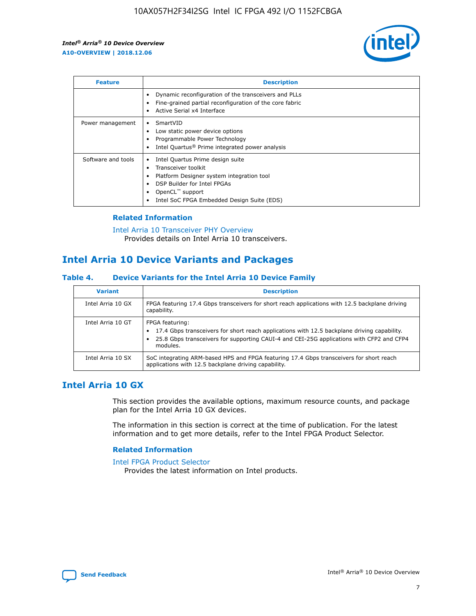

| <b>Feature</b>     | <b>Description</b>                                                                                                                                                                                               |
|--------------------|------------------------------------------------------------------------------------------------------------------------------------------------------------------------------------------------------------------|
|                    | Dynamic reconfiguration of the transceivers and PLLs<br>Fine-grained partial reconfiguration of the core fabric<br>Active Serial x4 Interface<br>$\bullet$                                                       |
| Power management   | SmartVID<br>Low static power device options<br>Programmable Power Technology<br>Intel Quartus <sup>®</sup> Prime integrated power analysis                                                                       |
| Software and tools | Intel Quartus Prime design suite<br>Transceiver toolkit<br>Platform Designer system integration tool<br>DSP Builder for Intel FPGAs<br>OpenCL <sup>™</sup> support<br>Intel SoC FPGA Embedded Design Suite (EDS) |

## **Related Information**

[Intel Arria 10 Transceiver PHY Overview](https://www.intel.com/content/www/us/en/programmable/documentation/nik1398707230472.html#nik1398706768037) Provides details on Intel Arria 10 transceivers.

## **Intel Arria 10 Device Variants and Packages**

#### **Table 4. Device Variants for the Intel Arria 10 Device Family**

| <b>Variant</b>    | <b>Description</b>                                                                                                                                                                                                     |
|-------------------|------------------------------------------------------------------------------------------------------------------------------------------------------------------------------------------------------------------------|
| Intel Arria 10 GX | FPGA featuring 17.4 Gbps transceivers for short reach applications with 12.5 backplane driving<br>capability.                                                                                                          |
| Intel Arria 10 GT | FPGA featuring:<br>17.4 Gbps transceivers for short reach applications with 12.5 backplane driving capability.<br>25.8 Gbps transceivers for supporting CAUI-4 and CEI-25G applications with CFP2 and CFP4<br>modules. |
| Intel Arria 10 SX | SoC integrating ARM-based HPS and FPGA featuring 17.4 Gbps transceivers for short reach<br>applications with 12.5 backplane driving capability.                                                                        |

## **Intel Arria 10 GX**

This section provides the available options, maximum resource counts, and package plan for the Intel Arria 10 GX devices.

The information in this section is correct at the time of publication. For the latest information and to get more details, refer to the Intel FPGA Product Selector.

#### **Related Information**

#### [Intel FPGA Product Selector](http://www.altera.com/products/selector/psg-selector.html) Provides the latest information on Intel products.

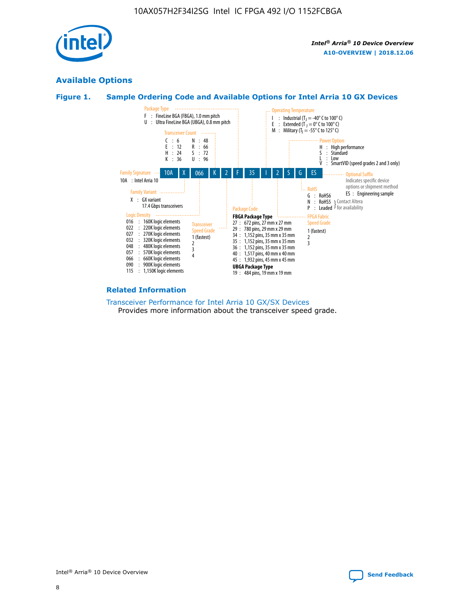

## **Available Options**





#### **Related Information**

[Transceiver Performance for Intel Arria 10 GX/SX Devices](https://www.intel.com/content/www/us/en/programmable/documentation/mcn1413182292568.html#mcn1413213965502) Provides more information about the transceiver speed grade.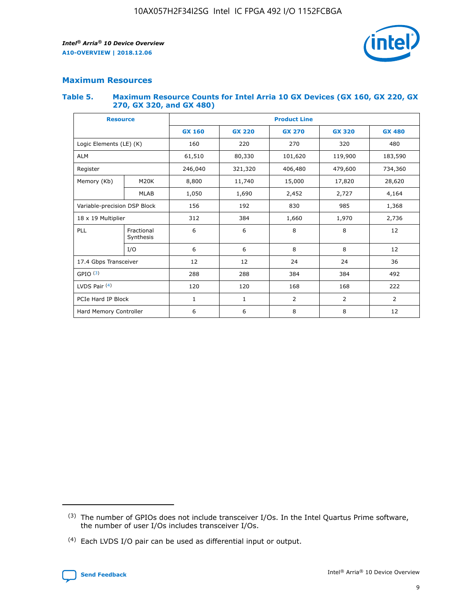

## **Maximum Resources**

#### **Table 5. Maximum Resource Counts for Intel Arria 10 GX Devices (GX 160, GX 220, GX 270, GX 320, and GX 480)**

| <b>Resource</b>              |                         | <b>Product Line</b> |                                                 |                |                |                |  |  |  |
|------------------------------|-------------------------|---------------------|-------------------------------------------------|----------------|----------------|----------------|--|--|--|
|                              |                         | <b>GX 160</b>       | <b>GX 220</b><br><b>GX 270</b><br><b>GX 320</b> |                |                | <b>GX 480</b>  |  |  |  |
| Logic Elements (LE) (K)      |                         | 160                 | 220                                             | 270            | 320            | 480            |  |  |  |
| <b>ALM</b>                   |                         | 61,510              | 80,330                                          | 101,620        | 119,900        | 183,590        |  |  |  |
| Register                     |                         | 246,040             | 321,320                                         | 406,480        | 479,600        | 734,360        |  |  |  |
| Memory (Kb)                  | M <sub>20</sub> K       | 8,800               | 11,740                                          | 15,000         | 17,820         | 28,620         |  |  |  |
| <b>MLAB</b>                  |                         | 1,050               | 1,690                                           | 2,452          | 2,727          | 4,164          |  |  |  |
| Variable-precision DSP Block |                         | 156                 | 192                                             | 830            | 985<br>1,368   |                |  |  |  |
| 18 x 19 Multiplier           |                         | 312                 | 384                                             | 1,660          | 1,970          | 2,736          |  |  |  |
| PLL                          | Fractional<br>Synthesis | 6                   | 6                                               | 8              | 8              | 12             |  |  |  |
|                              | I/O                     | 6                   | 6                                               | 8              | 8              | 12             |  |  |  |
| 17.4 Gbps Transceiver        |                         | 12                  | 12                                              | 24             | 24             | 36             |  |  |  |
| GPIO <sup>(3)</sup>          |                         | 288                 | 288                                             | 384<br>384     |                | 492            |  |  |  |
| LVDS Pair $(4)$              |                         | 120                 | 120                                             | 168            | 168            | 222            |  |  |  |
| PCIe Hard IP Block           |                         | $\mathbf{1}$        | 1                                               | $\overline{2}$ | $\overline{2}$ | $\overline{2}$ |  |  |  |
| Hard Memory Controller       |                         | 6                   | 6                                               | 8              | 8              | 12             |  |  |  |

<sup>(4)</sup> Each LVDS I/O pair can be used as differential input or output.



<sup>(3)</sup> The number of GPIOs does not include transceiver I/Os. In the Intel Quartus Prime software, the number of user I/Os includes transceiver I/Os.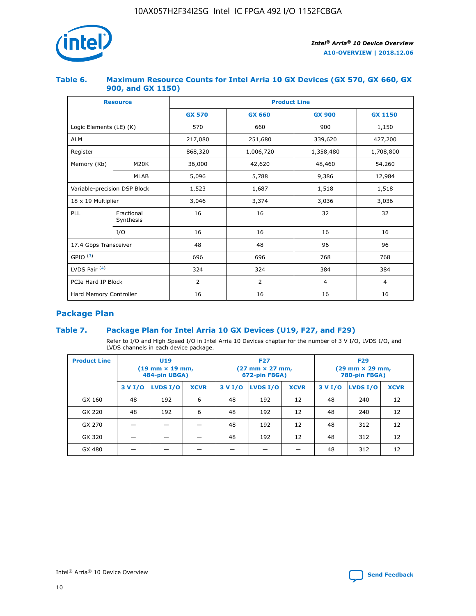

## **Table 6. Maximum Resource Counts for Intel Arria 10 GX Devices (GX 570, GX 660, GX 900, and GX 1150)**

|                              | <b>Resource</b>         | <b>Product Line</b> |                |                |                |  |  |  |
|------------------------------|-------------------------|---------------------|----------------|----------------|----------------|--|--|--|
|                              |                         | <b>GX 570</b>       | <b>GX 660</b>  | <b>GX 900</b>  | <b>GX 1150</b> |  |  |  |
| Logic Elements (LE) (K)      |                         | 570                 | 660            | 900            | 1,150          |  |  |  |
| <b>ALM</b>                   |                         | 217,080             | 251,680        | 339,620        | 427,200        |  |  |  |
| Register                     |                         | 868,320             | 1,006,720      | 1,358,480      | 1,708,800      |  |  |  |
| Memory (Kb)                  | <b>M20K</b>             | 36,000              | 42,620         | 48,460         | 54,260         |  |  |  |
|                              | <b>MLAB</b>             | 5,096               | 5,788          | 9,386          | 12,984         |  |  |  |
| Variable-precision DSP Block |                         | 1,523               | 1,687          | 1,518          | 1,518          |  |  |  |
|                              | 18 x 19 Multiplier      |                     | 3,374          | 3,036          | 3,036          |  |  |  |
| PLL                          | Fractional<br>Synthesis | 16                  | 16             | 32             | 32             |  |  |  |
|                              | I/O                     | 16                  | 16             | 16             | 16             |  |  |  |
| 17.4 Gbps Transceiver        |                         | 48                  | 48             | 96             | 96             |  |  |  |
| GPIO <sup>(3)</sup>          |                         | 696                 | 696            | 768            | 768            |  |  |  |
| LVDS Pair $(4)$              |                         | 324                 | 324            | 384            | 384            |  |  |  |
| PCIe Hard IP Block           |                         | 2                   | $\overline{2}$ | $\overline{4}$ | $\overline{4}$ |  |  |  |
| Hard Memory Controller       |                         | 16                  | 16             | 16             | 16             |  |  |  |

## **Package Plan**

## **Table 7. Package Plan for Intel Arria 10 GX Devices (U19, F27, and F29)**

Refer to I/O and High Speed I/O in Intel Arria 10 Devices chapter for the number of 3 V I/O, LVDS I/O, and LVDS channels in each device package.

| <b>Product Line</b> | U <sub>19</sub><br>$(19 \text{ mm} \times 19 \text{ mm})$<br>484-pin UBGA) |          |             |         | <b>F27</b><br>(27 mm × 27 mm,<br>672-pin FBGA) |             | <b>F29</b><br>(29 mm × 29 mm,<br>780-pin FBGA) |          |             |  |
|---------------------|----------------------------------------------------------------------------|----------|-------------|---------|------------------------------------------------|-------------|------------------------------------------------|----------|-------------|--|
|                     | 3 V I/O                                                                    | LVDS I/O | <b>XCVR</b> | 3 V I/O | <b>LVDS I/O</b>                                | <b>XCVR</b> | 3 V I/O                                        | LVDS I/O | <b>XCVR</b> |  |
| GX 160              | 48                                                                         | 192      | 6           | 48      | 192                                            | 12          | 48                                             | 240      | 12          |  |
| GX 220              | 48                                                                         | 192      | 6           | 48      | 192                                            | 12          | 48                                             | 240      | 12          |  |
| GX 270              |                                                                            |          |             | 48      | 192                                            | 12          | 48                                             | 312      | 12          |  |
| GX 320              |                                                                            |          |             | 48      | 192                                            | 12          | 48                                             | 312      | 12          |  |
| GX 480              |                                                                            |          |             |         |                                                |             | 48                                             | 312      | 12          |  |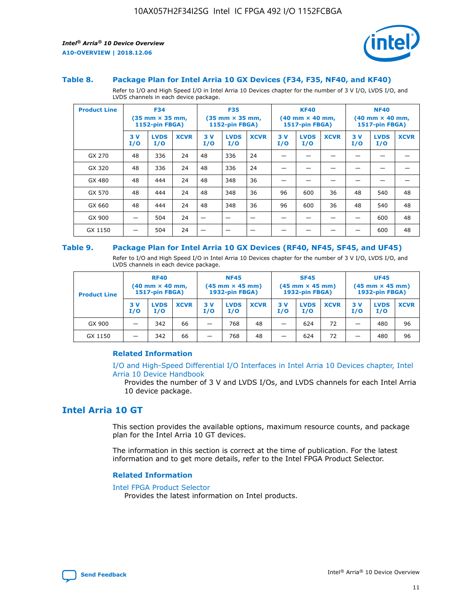

#### **Table 8. Package Plan for Intel Arria 10 GX Devices (F34, F35, NF40, and KF40)**

Refer to I/O and High Speed I/O in Intel Arria 10 Devices chapter for the number of 3 V I/O, LVDS I/O, and LVDS channels in each device package.

| <b>Product Line</b> | <b>F34</b><br>$(35 \text{ mm} \times 35 \text{ mm})$<br>1152-pin FBGA) |                    | <b>F35</b><br>$(35 \text{ mm} \times 35 \text{ mm})$<br><b>1152-pin FBGA)</b> |           | <b>KF40</b><br>$(40 \text{ mm} \times 40 \text{ mm})$<br>1517-pin FBGA) |             |            | <b>NF40</b><br>$(40 \text{ mm} \times 40 \text{ mm})$<br><b>1517-pin FBGA)</b> |             |            |                    |             |
|---------------------|------------------------------------------------------------------------|--------------------|-------------------------------------------------------------------------------|-----------|-------------------------------------------------------------------------|-------------|------------|--------------------------------------------------------------------------------|-------------|------------|--------------------|-------------|
|                     | 3V<br>I/O                                                              | <b>LVDS</b><br>I/O | <b>XCVR</b>                                                                   | 3V<br>I/O | <b>LVDS</b><br>I/O                                                      | <b>XCVR</b> | 3 V<br>I/O | <b>LVDS</b><br>I/O                                                             | <b>XCVR</b> | 3 V<br>I/O | <b>LVDS</b><br>I/O | <b>XCVR</b> |
| GX 270              | 48                                                                     | 336                | 24                                                                            | 48        | 336                                                                     | 24          |            |                                                                                |             |            |                    |             |
| GX 320              | 48                                                                     | 336                | 24                                                                            | 48        | 336                                                                     | 24          |            |                                                                                |             |            |                    |             |
| GX 480              | 48                                                                     | 444                | 24                                                                            | 48        | 348                                                                     | 36          |            |                                                                                |             |            |                    |             |
| GX 570              | 48                                                                     | 444                | 24                                                                            | 48        | 348                                                                     | 36          | 96         | 600                                                                            | 36          | 48         | 540                | 48          |
| GX 660              | 48                                                                     | 444                | 24                                                                            | 48        | 348                                                                     | 36          | 96         | 600                                                                            | 36          | 48         | 540                | 48          |
| GX 900              |                                                                        | 504                | 24                                                                            | -         |                                                                         |             |            |                                                                                |             |            | 600                | 48          |
| GX 1150             |                                                                        | 504                | 24                                                                            |           |                                                                         |             |            |                                                                                |             |            | 600                | 48          |

#### **Table 9. Package Plan for Intel Arria 10 GX Devices (RF40, NF45, SF45, and UF45)**

Refer to I/O and High Speed I/O in Intel Arria 10 Devices chapter for the number of 3 V I/O, LVDS I/O, and LVDS channels in each device package.

| <b>Product Line</b> | <b>RF40</b><br>$(40$ mm $\times$ 40 mm,<br>1517-pin FBGA) |                    |             | <b>NF45</b><br>$(45 \text{ mm} \times 45 \text{ mm})$<br><b>1932-pin FBGA)</b> |                    |             | <b>SF45</b><br>$(45 \text{ mm} \times 45 \text{ mm})$<br><b>1932-pin FBGA)</b> |                    |             | <b>UF45</b><br>$(45 \text{ mm} \times 45 \text{ mm})$<br><b>1932-pin FBGA)</b> |                    |             |
|---------------------|-----------------------------------------------------------|--------------------|-------------|--------------------------------------------------------------------------------|--------------------|-------------|--------------------------------------------------------------------------------|--------------------|-------------|--------------------------------------------------------------------------------|--------------------|-------------|
|                     | 3V<br>I/O                                                 | <b>LVDS</b><br>I/O | <b>XCVR</b> | 3 V<br>I/O                                                                     | <b>LVDS</b><br>I/O | <b>XCVR</b> | 3 V<br>I/O                                                                     | <b>LVDS</b><br>I/O | <b>XCVR</b> | 3V<br>I/O                                                                      | <b>LVDS</b><br>I/O | <b>XCVR</b> |
| GX 900              |                                                           | 342                | 66          | _                                                                              | 768                | 48          |                                                                                | 624                | 72          |                                                                                | 480                | 96          |
| GX 1150             |                                                           | 342                | 66          | _                                                                              | 768                | 48          |                                                                                | 624                | 72          |                                                                                | 480                | 96          |

#### **Related Information**

[I/O and High-Speed Differential I/O Interfaces in Intel Arria 10 Devices chapter, Intel](https://www.intel.com/content/www/us/en/programmable/documentation/sam1403482614086.html#sam1403482030321) [Arria 10 Device Handbook](https://www.intel.com/content/www/us/en/programmable/documentation/sam1403482614086.html#sam1403482030321)

Provides the number of 3 V and LVDS I/Os, and LVDS channels for each Intel Arria 10 device package.

## **Intel Arria 10 GT**

This section provides the available options, maximum resource counts, and package plan for the Intel Arria 10 GT devices.

The information in this section is correct at the time of publication. For the latest information and to get more details, refer to the Intel FPGA Product Selector.

#### **Related Information**

#### [Intel FPGA Product Selector](http://www.altera.com/products/selector/psg-selector.html)

Provides the latest information on Intel products.

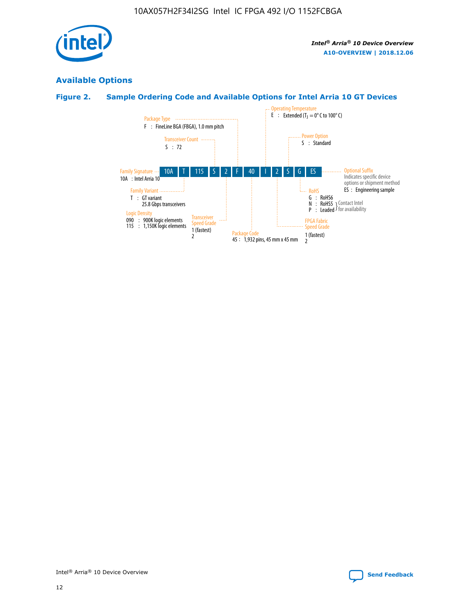

## **Available Options**

## **Figure 2. Sample Ordering Code and Available Options for Intel Arria 10 GT Devices**

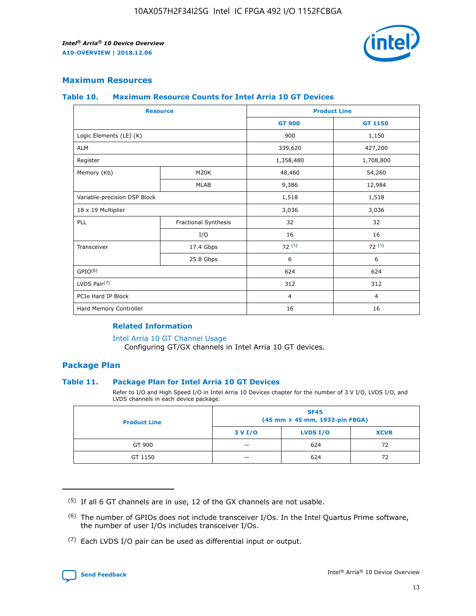

## **Maximum Resources**

#### **Table 10. Maximum Resource Counts for Intel Arria 10 GT Devices**

|                              | <b>Resource</b>      | <b>Product Line</b> |                |  |
|------------------------------|----------------------|---------------------|----------------|--|
|                              |                      | <b>GT 900</b>       | GT 1150        |  |
| Logic Elements (LE) (K)      |                      | 900                 | 1,150          |  |
| <b>ALM</b>                   |                      | 339,620             | 427,200        |  |
| Register                     |                      | 1,358,480           | 1,708,800      |  |
| Memory (Kb)                  | M20K                 | 48,460              | 54,260         |  |
|                              | <b>MLAB</b>          | 9,386               | 12,984         |  |
| Variable-precision DSP Block |                      | 1,518               | 1,518          |  |
| 18 x 19 Multiplier           |                      | 3,036               | 3,036          |  |
| <b>PLL</b>                   | Fractional Synthesis | 32                  | 32             |  |
|                              | I/O                  | 16                  | 16             |  |
| Transceiver                  | 17.4 Gbps            | 72(5)               | 72(5)          |  |
|                              | 25.8 Gbps            | 6                   | 6              |  |
| GPIO <sup>(6)</sup>          |                      | 624                 | 624            |  |
| LVDS Pair $(7)$              |                      | 312                 | 312            |  |
| PCIe Hard IP Block           |                      | $\overline{4}$      | $\overline{4}$ |  |
| Hard Memory Controller       |                      | 16                  | 16             |  |

#### **Related Information**

#### [Intel Arria 10 GT Channel Usage](https://www.intel.com/content/www/us/en/programmable/documentation/nik1398707230472.html#nik1398707008178)

Configuring GT/GX channels in Intel Arria 10 GT devices.

## **Package Plan**

#### **Table 11. Package Plan for Intel Arria 10 GT Devices**

Refer to I/O and High Speed I/O in Intel Arria 10 Devices chapter for the number of 3 V I/O, LVDS I/O, and LVDS channels in each device package.

| <b>Product Line</b> | <b>SF45</b><br>(45 mm × 45 mm, 1932-pin FBGA) |                 |             |  |  |  |
|---------------------|-----------------------------------------------|-----------------|-------------|--|--|--|
|                     | 3 V I/O                                       | <b>LVDS I/O</b> | <b>XCVR</b> |  |  |  |
| GT 900              |                                               | 624             | 72          |  |  |  |
| GT 1150             |                                               | 624             | 72          |  |  |  |

<sup>(7)</sup> Each LVDS I/O pair can be used as differential input or output.



 $(5)$  If all 6 GT channels are in use, 12 of the GX channels are not usable.

<sup>(6)</sup> The number of GPIOs does not include transceiver I/Os. In the Intel Quartus Prime software, the number of user I/Os includes transceiver I/Os.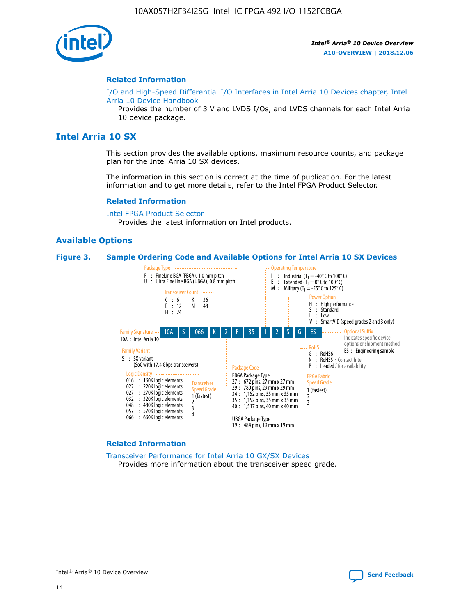

#### **Related Information**

[I/O and High-Speed Differential I/O Interfaces in Intel Arria 10 Devices chapter, Intel](https://www.intel.com/content/www/us/en/programmable/documentation/sam1403482614086.html#sam1403482030321) [Arria 10 Device Handbook](https://www.intel.com/content/www/us/en/programmable/documentation/sam1403482614086.html#sam1403482030321)

Provides the number of 3 V and LVDS I/Os, and LVDS channels for each Intel Arria 10 device package.

## **Intel Arria 10 SX**

This section provides the available options, maximum resource counts, and package plan for the Intel Arria 10 SX devices.

The information in this section is correct at the time of publication. For the latest information and to get more details, refer to the Intel FPGA Product Selector.

#### **Related Information**

[Intel FPGA Product Selector](http://www.altera.com/products/selector/psg-selector.html) Provides the latest information on Intel products.

#### **Available Options**

#### **Figure 3. Sample Ordering Code and Available Options for Intel Arria 10 SX Devices**



#### **Related Information**

[Transceiver Performance for Intel Arria 10 GX/SX Devices](https://www.intel.com/content/www/us/en/programmable/documentation/mcn1413182292568.html#mcn1413213965502) Provides more information about the transceiver speed grade.

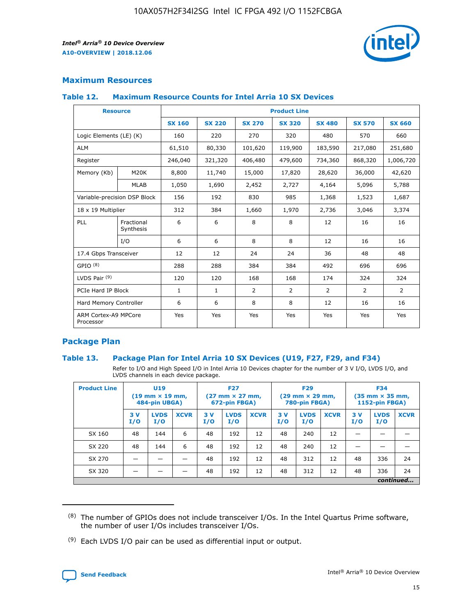

## **Maximum Resources**

#### **Table 12. Maximum Resource Counts for Intel Arria 10 SX Devices**

|                                   | <b>Resource</b>         | <b>Product Line</b> |               |                |                |                |                |                |  |  |  |
|-----------------------------------|-------------------------|---------------------|---------------|----------------|----------------|----------------|----------------|----------------|--|--|--|
|                                   |                         | <b>SX 160</b>       | <b>SX 220</b> | <b>SX 270</b>  | <b>SX 320</b>  | <b>SX 480</b>  | <b>SX 570</b>  | <b>SX 660</b>  |  |  |  |
| Logic Elements (LE) (K)           |                         | 160                 | 220           | 270            | 320            | 480            | 570            | 660            |  |  |  |
| <b>ALM</b>                        |                         | 61,510              | 80,330        | 101,620        | 119,900        | 183,590        | 217,080        | 251,680        |  |  |  |
| Register                          |                         | 246,040             | 321,320       | 406,480        | 479,600        | 734,360        | 868,320        | 1,006,720      |  |  |  |
| Memory (Kb)                       | M <sub>20</sub> K       | 8,800               | 11,740        | 15,000         | 17,820         | 28,620         | 36,000         | 42,620         |  |  |  |
|                                   | <b>MLAB</b>             | 1,050               | 1,690         | 2,452          | 2,727          | 4,164          | 5,096          | 5,788          |  |  |  |
| Variable-precision DSP Block      |                         | 156                 | 192           | 830            | 985            | 1,368          | 1,523          | 1,687          |  |  |  |
| 18 x 19 Multiplier                |                         | 312                 | 384           | 1,660          | 1,970          | 2,736          | 3,046          | 3,374          |  |  |  |
| <b>PLL</b>                        | Fractional<br>Synthesis | 6                   | 6             | 8              | 8              | 12             | 16             | 16             |  |  |  |
|                                   | I/O                     | 6                   | 6             | 8              | 8              | 12             | 16             | 16             |  |  |  |
| 17.4 Gbps Transceiver             |                         | 12                  | 12            | 24             | 24             | 36             | 48             | 48             |  |  |  |
| GPIO <sup>(8)</sup>               |                         | 288                 | 288           | 384            | 384            | 492            | 696            | 696            |  |  |  |
| LVDS Pair $(9)$                   |                         | 120                 | 120           | 168            | 168            | 174            | 324            | 324            |  |  |  |
| PCIe Hard IP Block                |                         | $\mathbf{1}$        | $\mathbf{1}$  | $\overline{2}$ | $\overline{2}$ | $\overline{2}$ | $\overline{2}$ | $\overline{2}$ |  |  |  |
| Hard Memory Controller            |                         | 6                   | 6             | 8              | 8              | 12             | 16             | 16             |  |  |  |
| ARM Cortex-A9 MPCore<br>Processor |                         | Yes                 | Yes           | Yes            | Yes            | Yes            | Yes            | Yes            |  |  |  |

## **Package Plan**

#### **Table 13. Package Plan for Intel Arria 10 SX Devices (U19, F27, F29, and F34)**

Refer to I/O and High Speed I/O in Intel Arria 10 Devices chapter for the number of 3 V I/O, LVDS I/O, and LVDS channels in each device package.

| <b>Product Line</b> | <b>U19</b><br>$(19 \text{ mm} \times 19 \text{ mm})$<br>484-pin UBGA) |                    | <b>F27</b><br>$(27 \text{ mm} \times 27 \text{ mm})$<br>672-pin FBGA) |           | <b>F29</b><br>$(29$ mm $\times$ 29 mm,<br>780-pin FBGA) |             |            | <b>F34</b><br>$(35 \text{ mm} \times 35 \text{ mm})$<br>1152-pin FBGA) |             |           |                    |             |
|---------------------|-----------------------------------------------------------------------|--------------------|-----------------------------------------------------------------------|-----------|---------------------------------------------------------|-------------|------------|------------------------------------------------------------------------|-------------|-----------|--------------------|-------------|
|                     | 3V<br>I/O                                                             | <b>LVDS</b><br>I/O | <b>XCVR</b>                                                           | 3V<br>I/O | <b>LVDS</b><br>I/O                                      | <b>XCVR</b> | 3 V<br>I/O | <b>LVDS</b><br>I/O                                                     | <b>XCVR</b> | 3V<br>I/O | <b>LVDS</b><br>I/O | <b>XCVR</b> |
| SX 160              | 48                                                                    | 144                | 6                                                                     | 48        | 192                                                     | 12          | 48         | 240                                                                    | 12          | –         |                    |             |
| SX 220              | 48                                                                    | 144                | 6                                                                     | 48        | 192                                                     | 12          | 48         | 240                                                                    | 12          |           |                    |             |
| SX 270              |                                                                       |                    |                                                                       | 48        | 192                                                     | 12          | 48         | 312                                                                    | 12          | 48        | 336                | 24          |
| SX 320              |                                                                       |                    |                                                                       | 48        | 192                                                     | 12          | 48         | 312                                                                    | 12          | 48        | 336                | 24          |
|                     | continued                                                             |                    |                                                                       |           |                                                         |             |            |                                                                        |             |           |                    |             |

 $(8)$  The number of GPIOs does not include transceiver I/Os. In the Intel Quartus Prime software, the number of user I/Os includes transceiver I/Os.

 $(9)$  Each LVDS I/O pair can be used as differential input or output.

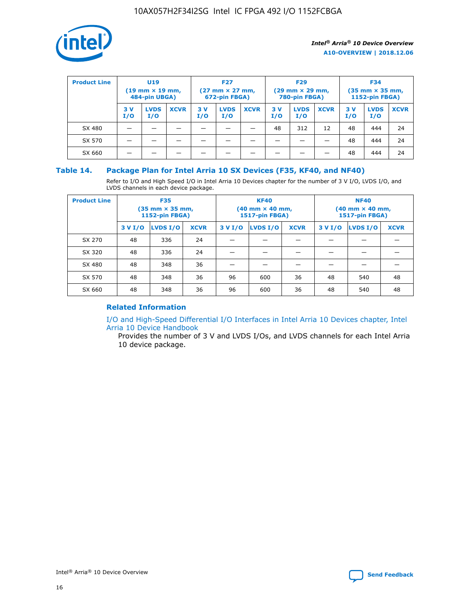

| <b>Product Line</b> |            | <b>U19</b><br>$(19 \text{ mm} \times 19 \text{ mm})$<br>484-pin UBGA) |             | <b>F27</b><br>$(27 \text{ mm} \times 27 \text{ mm})$<br>672-pin FBGA) |                    | <b>F29</b><br>$(29$ mm $\times$ 29 mm,<br>780-pin FBGA) |           |                    | <b>F34</b><br>$(35$ mm $\times$ 35 mm,<br><b>1152-pin FBGA)</b> |           |                    |             |
|---------------------|------------|-----------------------------------------------------------------------|-------------|-----------------------------------------------------------------------|--------------------|---------------------------------------------------------|-----------|--------------------|-----------------------------------------------------------------|-----------|--------------------|-------------|
|                     | 3 V<br>I/O | <b>LVDS</b><br>I/O                                                    | <b>XCVR</b> | 3V<br>I/O                                                             | <b>LVDS</b><br>I/O | <b>XCVR</b>                                             | 3V<br>I/O | <b>LVDS</b><br>I/O | <b>XCVR</b>                                                     | 3V<br>I/O | <b>LVDS</b><br>I/O | <b>XCVR</b> |
| SX 480              |            |                                                                       |             |                                                                       |                    |                                                         | 48        | 312                | 12                                                              | 48        | 444                | 24          |
| SX 570              |            |                                                                       |             |                                                                       |                    |                                                         |           |                    |                                                                 | 48        | 444                | 24          |
| SX 660              |            |                                                                       |             |                                                                       |                    |                                                         |           |                    |                                                                 | 48        | 444                | 24          |

## **Table 14. Package Plan for Intel Arria 10 SX Devices (F35, KF40, and NF40)**

Refer to I/O and High Speed I/O in Intel Arria 10 Devices chapter for the number of 3 V I/O, LVDS I/O, and LVDS channels in each device package.

| <b>Product Line</b> | <b>F35</b><br>(35 mm × 35 mm,<br>1152-pin FBGA) |          |             |                                           | <b>KF40</b><br>(40 mm × 40 mm,<br>1517-pin FBGA) |    | <b>NF40</b><br>(40 mm × 40 mm,<br>1517-pin FBGA) |          |             |  |
|---------------------|-------------------------------------------------|----------|-------------|-------------------------------------------|--------------------------------------------------|----|--------------------------------------------------|----------|-------------|--|
|                     | 3 V I/O                                         | LVDS I/O | <b>XCVR</b> | <b>LVDS I/O</b><br>3 V I/O<br><b>XCVR</b> |                                                  |    | 3 V I/O                                          | LVDS I/O | <b>XCVR</b> |  |
| SX 270              | 48                                              | 336      | 24          |                                           |                                                  |    |                                                  |          |             |  |
| SX 320              | 48                                              | 336      | 24          |                                           |                                                  |    |                                                  |          |             |  |
| SX 480              | 48                                              | 348      | 36          |                                           |                                                  |    |                                                  |          |             |  |
| SX 570              | 48                                              | 348      | 36          | 96                                        | 600                                              | 36 | 48                                               | 540      | 48          |  |
| SX 660              | 48                                              | 348      | 36          | 96                                        | 600                                              | 36 | 48                                               | 540      | 48          |  |

## **Related Information**

[I/O and High-Speed Differential I/O Interfaces in Intel Arria 10 Devices chapter, Intel](https://www.intel.com/content/www/us/en/programmable/documentation/sam1403482614086.html#sam1403482030321) [Arria 10 Device Handbook](https://www.intel.com/content/www/us/en/programmable/documentation/sam1403482614086.html#sam1403482030321)

Provides the number of 3 V and LVDS I/Os, and LVDS channels for each Intel Arria 10 device package.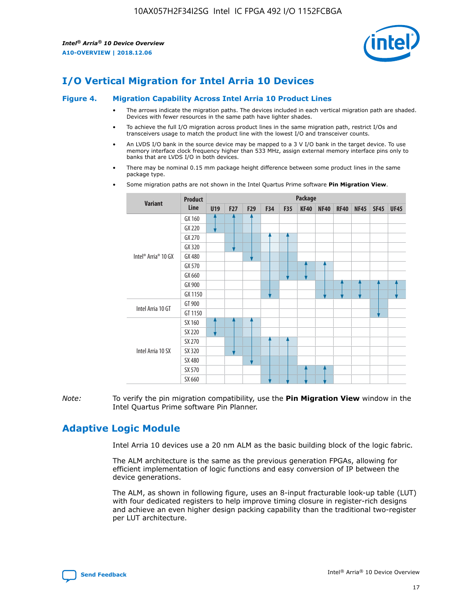

# **I/O Vertical Migration for Intel Arria 10 Devices**

#### **Figure 4. Migration Capability Across Intel Arria 10 Product Lines**

- The arrows indicate the migration paths. The devices included in each vertical migration path are shaded. Devices with fewer resources in the same path have lighter shades.
- To achieve the full I/O migration across product lines in the same migration path, restrict I/Os and transceivers usage to match the product line with the lowest I/O and transceiver counts.
- An LVDS I/O bank in the source device may be mapped to a 3 V I/O bank in the target device. To use memory interface clock frequency higher than 533 MHz, assign external memory interface pins only to banks that are LVDS I/O in both devices.
- There may be nominal 0.15 mm package height difference between some product lines in the same package type.
	- **Variant Product Line Package U19 F27 F29 F34 F35 KF40 NF40 RF40 NF45 SF45 UF45** Intel® Arria® 10 GX GX 160 GX 220 GX 270 GX 320 GX 480 GX 570 GX 660 GX 900 GX 1150 Intel Arria 10 GT GT 900 GT 1150 Intel Arria 10 SX SX 160 SX 220 SX 270 SX 320 SX 480 SX 570 SX 660
- Some migration paths are not shown in the Intel Quartus Prime software **Pin Migration View**.

*Note:* To verify the pin migration compatibility, use the **Pin Migration View** window in the Intel Quartus Prime software Pin Planner.

## **Adaptive Logic Module**

Intel Arria 10 devices use a 20 nm ALM as the basic building block of the logic fabric.

The ALM architecture is the same as the previous generation FPGAs, allowing for efficient implementation of logic functions and easy conversion of IP between the device generations.

The ALM, as shown in following figure, uses an 8-input fracturable look-up table (LUT) with four dedicated registers to help improve timing closure in register-rich designs and achieve an even higher design packing capability than the traditional two-register per LUT architecture.

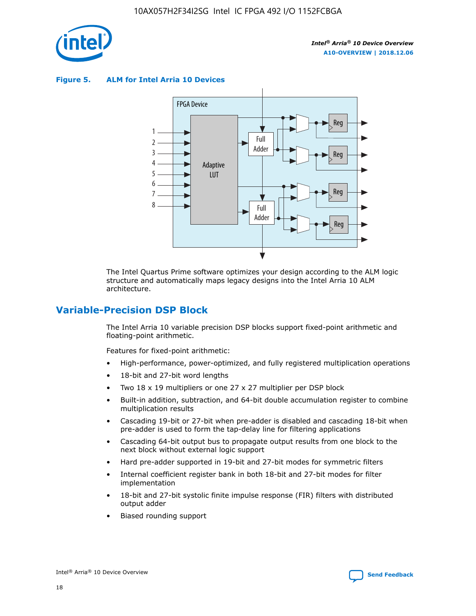

**Figure 5. ALM for Intel Arria 10 Devices**



The Intel Quartus Prime software optimizes your design according to the ALM logic structure and automatically maps legacy designs into the Intel Arria 10 ALM architecture.

## **Variable-Precision DSP Block**

The Intel Arria 10 variable precision DSP blocks support fixed-point arithmetic and floating-point arithmetic.

Features for fixed-point arithmetic:

- High-performance, power-optimized, and fully registered multiplication operations
- 18-bit and 27-bit word lengths
- Two 18 x 19 multipliers or one 27 x 27 multiplier per DSP block
- Built-in addition, subtraction, and 64-bit double accumulation register to combine multiplication results
- Cascading 19-bit or 27-bit when pre-adder is disabled and cascading 18-bit when pre-adder is used to form the tap-delay line for filtering applications
- Cascading 64-bit output bus to propagate output results from one block to the next block without external logic support
- Hard pre-adder supported in 19-bit and 27-bit modes for symmetric filters
- Internal coefficient register bank in both 18-bit and 27-bit modes for filter implementation
- 18-bit and 27-bit systolic finite impulse response (FIR) filters with distributed output adder
- Biased rounding support

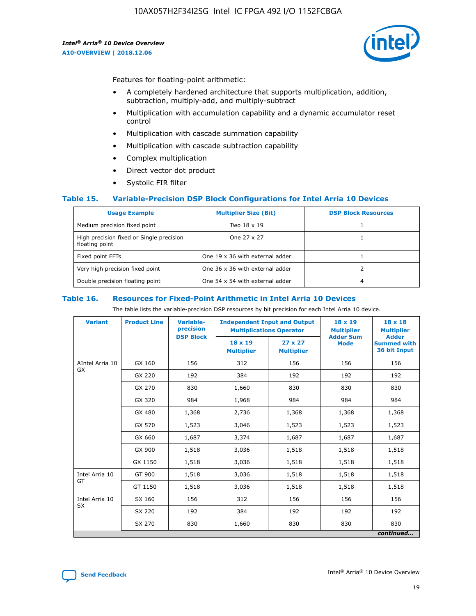

Features for floating-point arithmetic:

- A completely hardened architecture that supports multiplication, addition, subtraction, multiply-add, and multiply-subtract
- Multiplication with accumulation capability and a dynamic accumulator reset control
- Multiplication with cascade summation capability
- Multiplication with cascade subtraction capability
- Complex multiplication
- Direct vector dot product
- Systolic FIR filter

#### **Table 15. Variable-Precision DSP Block Configurations for Intel Arria 10 Devices**

| <b>Usage Example</b>                                       | <b>Multiplier Size (Bit)</b>    | <b>DSP Block Resources</b> |
|------------------------------------------------------------|---------------------------------|----------------------------|
| Medium precision fixed point                               | Two 18 x 19                     |                            |
| High precision fixed or Single precision<br>floating point | One 27 x 27                     |                            |
| Fixed point FFTs                                           | One 19 x 36 with external adder |                            |
| Very high precision fixed point                            | One 36 x 36 with external adder |                            |
| Double precision floating point                            | One 54 x 54 with external adder | 4                          |

#### **Table 16. Resources for Fixed-Point Arithmetic in Intel Arria 10 Devices**

The table lists the variable-precision DSP resources by bit precision for each Intel Arria 10 device.

| <b>Variant</b>  | <b>Product Line</b> | Variable-<br>precision | <b>Independent Input and Output</b><br><b>Multiplications Operator</b> |                                     | $18 \times 19$<br><b>Multiplier</b><br><b>Adder Sum</b> | $18 \times 18$<br><b>Multiplier</b>                |
|-----------------|---------------------|------------------------|------------------------------------------------------------------------|-------------------------------------|---------------------------------------------------------|----------------------------------------------------|
|                 |                     | <b>DSP Block</b>       | $18 \times 19$<br><b>Multiplier</b>                                    | $27 \times 27$<br><b>Multiplier</b> | <b>Mode</b>                                             | <b>Adder</b><br><b>Summed with</b><br>36 bit Input |
| AIntel Arria 10 | GX 160              | 156                    | 312                                                                    | 156                                 | 156                                                     | 156                                                |
| <b>GX</b>       | GX 220              | 192                    | 384                                                                    | 192                                 | 192                                                     | 192                                                |
|                 | GX 270              | 830                    | 1,660                                                                  | 830                                 | 830                                                     | 830                                                |
|                 | GX 320              | 984                    | 1,968                                                                  | 984                                 | 984                                                     | 984                                                |
|                 | GX 480              | 1,368                  | 2,736                                                                  | 1,368                               | 1,368                                                   | 1,368                                              |
|                 | GX 570              | 1,523                  | 3,046                                                                  | 1,523                               | 1,523                                                   | 1,523                                              |
|                 | GX 660              | 1,687                  | 3,374                                                                  | 1,687                               | 1,687                                                   | 1,687                                              |
|                 | GX 900              | 1,518                  | 3,036                                                                  | 1,518                               | 1,518                                                   | 1,518                                              |
|                 | GX 1150             | 1,518                  | 3,036                                                                  | 1,518                               | 1,518                                                   | 1,518                                              |
| Intel Arria 10  | GT 900              | 1,518                  | 3,036                                                                  | 1,518                               | 1,518                                                   | 1,518                                              |
| GT              | GT 1150             | 1,518                  | 3,036                                                                  | 1,518                               | 1,518                                                   | 1,518                                              |
| Intel Arria 10  | SX 160              | 156                    | 312                                                                    | 156                                 | 156                                                     | 156                                                |
| <b>SX</b>       | SX 220              | 192                    | 384                                                                    | 192                                 | 192                                                     | 192                                                |
|                 | SX 270              | 830                    | 1,660                                                                  | 830                                 | 830                                                     | 830                                                |
|                 |                     |                        |                                                                        |                                     |                                                         | continued                                          |

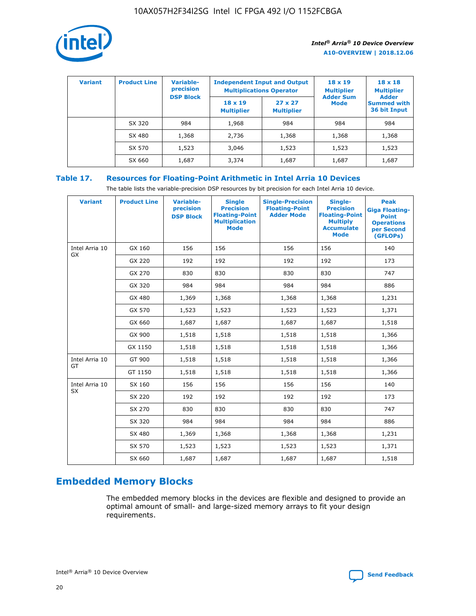

| <b>Variant</b> | <b>Product Line</b> | <b>Variable-</b><br>precision |                                     | <b>Independent Input and Output</b><br><b>Multiplications Operator</b> | $18 \times 19$<br><b>Multiplier</b> | $18 \times 18$<br><b>Multiplier</b>                |
|----------------|---------------------|-------------------------------|-------------------------------------|------------------------------------------------------------------------|-------------------------------------|----------------------------------------------------|
|                |                     | <b>DSP Block</b>              | $18 \times 19$<br><b>Multiplier</b> | $27 \times 27$<br><b>Multiplier</b>                                    | <b>Adder Sum</b><br>Mode            | <b>Adder</b><br><b>Summed with</b><br>36 bit Input |
|                | SX 320              | 984                           | 1,968                               | 984                                                                    | 984                                 | 984                                                |
|                | SX 480              | 1,368                         | 2,736                               | 1,368                                                                  | 1,368                               | 1,368                                              |
|                | SX 570              | 1,523                         | 3,046                               | 1,523                                                                  | 1,523                               | 1,523                                              |
|                | SX 660              | 1,687                         | 3,374                               | 1,687                                                                  | 1,687                               | 1,687                                              |

## **Table 17. Resources for Floating-Point Arithmetic in Intel Arria 10 Devices**

The table lists the variable-precision DSP resources by bit precision for each Intel Arria 10 device.

| <b>Variant</b> | <b>Product Line</b> | <b>Variable-</b><br>precision<br><b>DSP Block</b> | <b>Single</b><br><b>Precision</b><br><b>Floating-Point</b><br><b>Multiplication</b><br><b>Mode</b> | <b>Single-Precision</b><br><b>Floating-Point</b><br><b>Adder Mode</b> | Single-<br><b>Precision</b><br><b>Floating-Point</b><br><b>Multiply</b><br><b>Accumulate</b><br><b>Mode</b> | <b>Peak</b><br><b>Giga Floating-</b><br><b>Point</b><br><b>Operations</b><br>per Second<br>(GFLOPs) |
|----------------|---------------------|---------------------------------------------------|----------------------------------------------------------------------------------------------------|-----------------------------------------------------------------------|-------------------------------------------------------------------------------------------------------------|-----------------------------------------------------------------------------------------------------|
| Intel Arria 10 | GX 160              | 156                                               | 156                                                                                                | 156                                                                   | 156                                                                                                         | 140                                                                                                 |
| GX             | GX 220              | 192                                               | 192                                                                                                | 192                                                                   | 192                                                                                                         | 173                                                                                                 |
|                | GX 270              | 830                                               | 830                                                                                                | 830                                                                   | 830                                                                                                         | 747                                                                                                 |
|                | GX 320              | 984                                               | 984                                                                                                | 984                                                                   | 984                                                                                                         | 886                                                                                                 |
|                | GX 480              | 1,369                                             | 1,368                                                                                              | 1,368                                                                 | 1,368                                                                                                       | 1,231                                                                                               |
|                | GX 570              | 1,523                                             | 1,523                                                                                              | 1,523                                                                 | 1,523                                                                                                       | 1,371                                                                                               |
|                | GX 660              | 1,687                                             | 1,687                                                                                              | 1,687                                                                 | 1,687                                                                                                       | 1,518                                                                                               |
|                | GX 900              | 1,518                                             | 1,518                                                                                              | 1,518                                                                 | 1,518                                                                                                       | 1,366                                                                                               |
|                | GX 1150             | 1,518                                             | 1,518                                                                                              | 1,518                                                                 | 1,518                                                                                                       | 1,366                                                                                               |
| Intel Arria 10 | GT 900              | 1,518                                             | 1,518                                                                                              | 1,518                                                                 | 1,518                                                                                                       | 1,366                                                                                               |
| GT             | GT 1150             | 1,518                                             | 1,518                                                                                              | 1,518                                                                 | 1,518                                                                                                       | 1,366                                                                                               |
| Intel Arria 10 | SX 160              | 156                                               | 156                                                                                                | 156                                                                   | 156                                                                                                         | 140                                                                                                 |
| <b>SX</b>      | SX 220              | 192                                               | 192                                                                                                | 192                                                                   | 192                                                                                                         | 173                                                                                                 |
|                | SX 270              | 830                                               | 830                                                                                                | 830                                                                   | 830                                                                                                         | 747                                                                                                 |
|                | SX 320              | 984                                               | 984                                                                                                | 984                                                                   | 984                                                                                                         | 886                                                                                                 |
|                | SX 480              | 1,369                                             | 1,368                                                                                              | 1,368                                                                 | 1,368                                                                                                       | 1,231                                                                                               |
|                | SX 570              | 1,523                                             | 1,523                                                                                              | 1,523                                                                 | 1,523                                                                                                       | 1,371                                                                                               |
|                | SX 660              | 1,687                                             | 1,687                                                                                              | 1,687                                                                 | 1,687                                                                                                       | 1,518                                                                                               |

# **Embedded Memory Blocks**

The embedded memory blocks in the devices are flexible and designed to provide an optimal amount of small- and large-sized memory arrays to fit your design requirements.

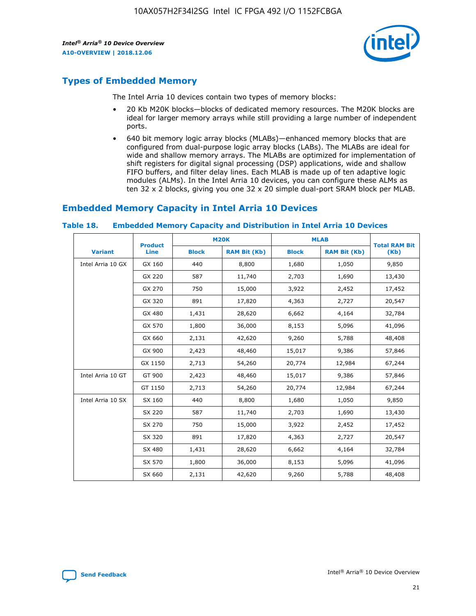

## **Types of Embedded Memory**

The Intel Arria 10 devices contain two types of memory blocks:

- 20 Kb M20K blocks—blocks of dedicated memory resources. The M20K blocks are ideal for larger memory arrays while still providing a large number of independent ports.
- 640 bit memory logic array blocks (MLABs)—enhanced memory blocks that are configured from dual-purpose logic array blocks (LABs). The MLABs are ideal for wide and shallow memory arrays. The MLABs are optimized for implementation of shift registers for digital signal processing (DSP) applications, wide and shallow FIFO buffers, and filter delay lines. Each MLAB is made up of ten adaptive logic modules (ALMs). In the Intel Arria 10 devices, you can configure these ALMs as ten 32 x 2 blocks, giving you one 32 x 20 simple dual-port SRAM block per MLAB.

## **Embedded Memory Capacity in Intel Arria 10 Devices**

|                   | <b>Product</b> |              | <b>M20K</b>         | <b>MLAB</b>  |                     | <b>Total RAM Bit</b> |
|-------------------|----------------|--------------|---------------------|--------------|---------------------|----------------------|
| <b>Variant</b>    | Line           | <b>Block</b> | <b>RAM Bit (Kb)</b> | <b>Block</b> | <b>RAM Bit (Kb)</b> | (Kb)                 |
| Intel Arria 10 GX | GX 160         | 440          | 8,800               | 1,680        | 1,050               | 9,850                |
|                   | GX 220         | 587          | 11,740              | 2,703        | 1,690               | 13,430               |
|                   | GX 270         | 750          | 15,000              | 3,922        | 2,452               | 17,452               |
|                   | GX 320         | 891          | 17,820              | 4,363        | 2,727               | 20,547               |
|                   | GX 480         | 1,431        | 28,620              | 6,662        | 4,164               | 32,784               |
|                   | GX 570         | 1,800        | 36,000              | 8,153        | 5,096               | 41,096               |
|                   | GX 660         | 2,131        | 42,620              | 9,260        | 5,788               | 48,408               |
|                   | GX 900         | 2,423        | 48,460              | 15,017       | 9,386               | 57,846               |
|                   | GX 1150        | 2,713        | 54,260              | 20,774       | 12,984              | 67,244               |
| Intel Arria 10 GT | GT 900         | 2,423        | 48,460              | 15,017       | 9,386               | 57,846               |
|                   | GT 1150        | 2,713        | 54,260              | 20,774       | 12,984              | 67,244               |
| Intel Arria 10 SX | SX 160         | 440          | 8,800               | 1,680        | 1,050               | 9,850                |
|                   | SX 220         | 587          | 11,740              | 2,703        | 1,690               | 13,430               |
|                   | SX 270         | 750          | 15,000              | 3,922        | 2,452               | 17,452               |
|                   | SX 320         | 891          | 17,820              | 4,363        | 2,727               | 20,547               |
|                   | SX 480         | 1,431        | 28,620              | 6,662        | 4,164               | 32,784               |
|                   | SX 570         | 1,800        | 36,000              | 8,153        | 5,096               | 41,096               |
|                   | SX 660         | 2,131        | 42,620              | 9,260        | 5,788               | 48,408               |

#### **Table 18. Embedded Memory Capacity and Distribution in Intel Arria 10 Devices**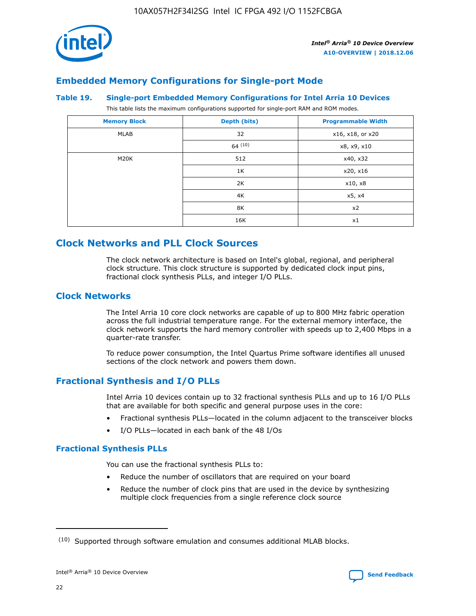

## **Embedded Memory Configurations for Single-port Mode**

#### **Table 19. Single-port Embedded Memory Configurations for Intel Arria 10 Devices**

This table lists the maximum configurations supported for single-port RAM and ROM modes.

| <b>Memory Block</b> | Depth (bits) | <b>Programmable Width</b> |
|---------------------|--------------|---------------------------|
| MLAB                | 32           | x16, x18, or x20          |
|                     | 64(10)       | x8, x9, x10               |
| M20K                | 512          | x40, x32                  |
|                     | 1K           | x20, x16                  |
|                     | 2K           | x10, x8                   |
|                     | 4K           | x5, x4                    |
|                     | 8K           | x2                        |
|                     | 16K          | x1                        |

## **Clock Networks and PLL Clock Sources**

The clock network architecture is based on Intel's global, regional, and peripheral clock structure. This clock structure is supported by dedicated clock input pins, fractional clock synthesis PLLs, and integer I/O PLLs.

## **Clock Networks**

The Intel Arria 10 core clock networks are capable of up to 800 MHz fabric operation across the full industrial temperature range. For the external memory interface, the clock network supports the hard memory controller with speeds up to 2,400 Mbps in a quarter-rate transfer.

To reduce power consumption, the Intel Quartus Prime software identifies all unused sections of the clock network and powers them down.

## **Fractional Synthesis and I/O PLLs**

Intel Arria 10 devices contain up to 32 fractional synthesis PLLs and up to 16 I/O PLLs that are available for both specific and general purpose uses in the core:

- Fractional synthesis PLLs—located in the column adjacent to the transceiver blocks
- I/O PLLs—located in each bank of the 48 I/Os

## **Fractional Synthesis PLLs**

You can use the fractional synthesis PLLs to:

- Reduce the number of oscillators that are required on your board
- Reduce the number of clock pins that are used in the device by synthesizing multiple clock frequencies from a single reference clock source

<sup>(10)</sup> Supported through software emulation and consumes additional MLAB blocks.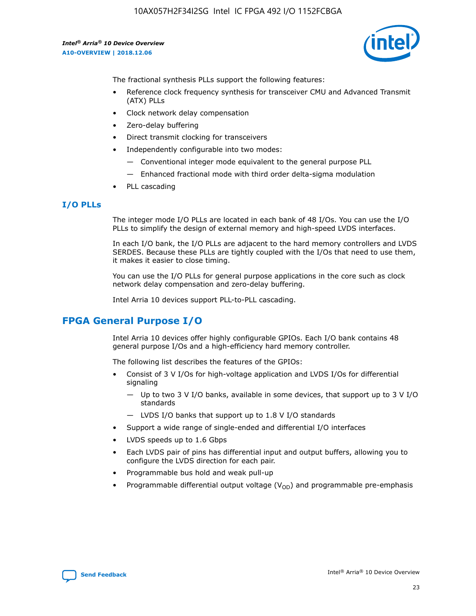

The fractional synthesis PLLs support the following features:

- Reference clock frequency synthesis for transceiver CMU and Advanced Transmit (ATX) PLLs
- Clock network delay compensation
- Zero-delay buffering
- Direct transmit clocking for transceivers
- Independently configurable into two modes:
	- Conventional integer mode equivalent to the general purpose PLL
	- Enhanced fractional mode with third order delta-sigma modulation
- PLL cascading

#### **I/O PLLs**

The integer mode I/O PLLs are located in each bank of 48 I/Os. You can use the I/O PLLs to simplify the design of external memory and high-speed LVDS interfaces.

In each I/O bank, the I/O PLLs are adjacent to the hard memory controllers and LVDS SERDES. Because these PLLs are tightly coupled with the I/Os that need to use them, it makes it easier to close timing.

You can use the I/O PLLs for general purpose applications in the core such as clock network delay compensation and zero-delay buffering.

Intel Arria 10 devices support PLL-to-PLL cascading.

## **FPGA General Purpose I/O**

Intel Arria 10 devices offer highly configurable GPIOs. Each I/O bank contains 48 general purpose I/Os and a high-efficiency hard memory controller.

The following list describes the features of the GPIOs:

- Consist of 3 V I/Os for high-voltage application and LVDS I/Os for differential signaling
	- Up to two 3 V I/O banks, available in some devices, that support up to 3 V I/O standards
	- LVDS I/O banks that support up to 1.8 V I/O standards
- Support a wide range of single-ended and differential I/O interfaces
- LVDS speeds up to 1.6 Gbps
- Each LVDS pair of pins has differential input and output buffers, allowing you to configure the LVDS direction for each pair.
- Programmable bus hold and weak pull-up
- Programmable differential output voltage  $(V_{OD})$  and programmable pre-emphasis

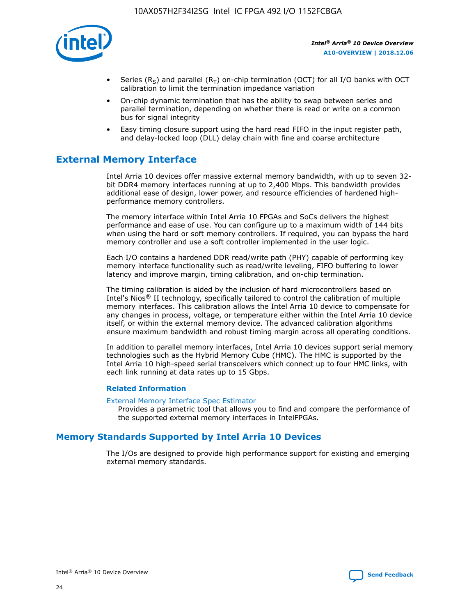

- Series (R<sub>S</sub>) and parallel (R<sub>T</sub>) on-chip termination (OCT) for all I/O banks with OCT calibration to limit the termination impedance variation
- On-chip dynamic termination that has the ability to swap between series and parallel termination, depending on whether there is read or write on a common bus for signal integrity
- Easy timing closure support using the hard read FIFO in the input register path, and delay-locked loop (DLL) delay chain with fine and coarse architecture

## **External Memory Interface**

Intel Arria 10 devices offer massive external memory bandwidth, with up to seven 32 bit DDR4 memory interfaces running at up to 2,400 Mbps. This bandwidth provides additional ease of design, lower power, and resource efficiencies of hardened highperformance memory controllers.

The memory interface within Intel Arria 10 FPGAs and SoCs delivers the highest performance and ease of use. You can configure up to a maximum width of 144 bits when using the hard or soft memory controllers. If required, you can bypass the hard memory controller and use a soft controller implemented in the user logic.

Each I/O contains a hardened DDR read/write path (PHY) capable of performing key memory interface functionality such as read/write leveling, FIFO buffering to lower latency and improve margin, timing calibration, and on-chip termination.

The timing calibration is aided by the inclusion of hard microcontrollers based on Intel's Nios® II technology, specifically tailored to control the calibration of multiple memory interfaces. This calibration allows the Intel Arria 10 device to compensate for any changes in process, voltage, or temperature either within the Intel Arria 10 device itself, or within the external memory device. The advanced calibration algorithms ensure maximum bandwidth and robust timing margin across all operating conditions.

In addition to parallel memory interfaces, Intel Arria 10 devices support serial memory technologies such as the Hybrid Memory Cube (HMC). The HMC is supported by the Intel Arria 10 high-speed serial transceivers which connect up to four HMC links, with each link running at data rates up to 15 Gbps.

#### **Related Information**

#### [External Memory Interface Spec Estimator](http://www.altera.com/technology/memory/estimator/mem-emif-index.html)

Provides a parametric tool that allows you to find and compare the performance of the supported external memory interfaces in IntelFPGAs.

## **Memory Standards Supported by Intel Arria 10 Devices**

The I/Os are designed to provide high performance support for existing and emerging external memory standards.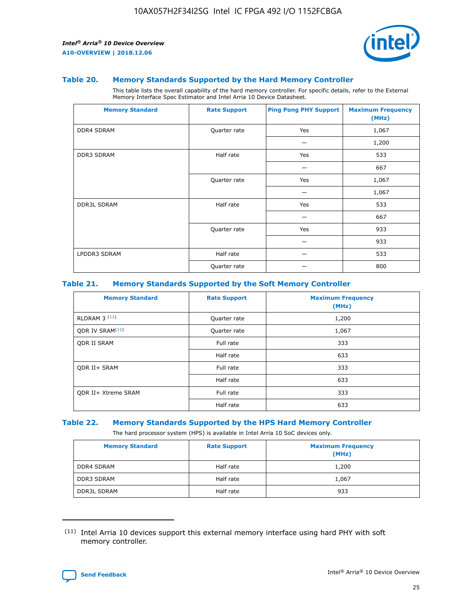

#### **Table 20. Memory Standards Supported by the Hard Memory Controller**

This table lists the overall capability of the hard memory controller. For specific details, refer to the External Memory Interface Spec Estimator and Intel Arria 10 Device Datasheet.

| <b>Memory Standard</b> | <b>Rate Support</b> | <b>Ping Pong PHY Support</b> | <b>Maximum Frequency</b><br>(MHz) |
|------------------------|---------------------|------------------------------|-----------------------------------|
| <b>DDR4 SDRAM</b>      | Quarter rate        | Yes                          | 1,067                             |
|                        |                     |                              | 1,200                             |
| DDR3 SDRAM             | Half rate           | Yes                          | 533                               |
|                        |                     |                              | 667                               |
|                        | Quarter rate        | Yes                          | 1,067                             |
|                        |                     |                              | 1,067                             |
| <b>DDR3L SDRAM</b>     | Half rate           | Yes                          | 533                               |
|                        |                     |                              | 667                               |
|                        | Quarter rate        | Yes                          | 933                               |
|                        |                     |                              | 933                               |
| LPDDR3 SDRAM           | Half rate           |                              | 533                               |
|                        | Quarter rate        |                              | 800                               |

#### **Table 21. Memory Standards Supported by the Soft Memory Controller**

| <b>Memory Standard</b>      | <b>Rate Support</b> | <b>Maximum Frequency</b><br>(MHz) |
|-----------------------------|---------------------|-----------------------------------|
| <b>RLDRAM 3 (11)</b>        | Quarter rate        | 1,200                             |
| QDR IV SRAM <sup>(11)</sup> | Quarter rate        | 1,067                             |
| <b>ODR II SRAM</b>          | Full rate           | 333                               |
|                             | Half rate           | 633                               |
| <b>ODR II+ SRAM</b>         | Full rate           | 333                               |
|                             | Half rate           | 633                               |
| <b>QDR II+ Xtreme SRAM</b>  | Full rate           | 333                               |
|                             | Half rate           | 633                               |

#### **Table 22. Memory Standards Supported by the HPS Hard Memory Controller**

The hard processor system (HPS) is available in Intel Arria 10 SoC devices only.

| <b>Memory Standard</b> | <b>Rate Support</b> | <b>Maximum Frequency</b><br>(MHz) |
|------------------------|---------------------|-----------------------------------|
| <b>DDR4 SDRAM</b>      | Half rate           | 1,200                             |
| <b>DDR3 SDRAM</b>      | Half rate           | 1,067                             |
| <b>DDR3L SDRAM</b>     | Half rate           | 933                               |

<sup>(11)</sup> Intel Arria 10 devices support this external memory interface using hard PHY with soft memory controller.

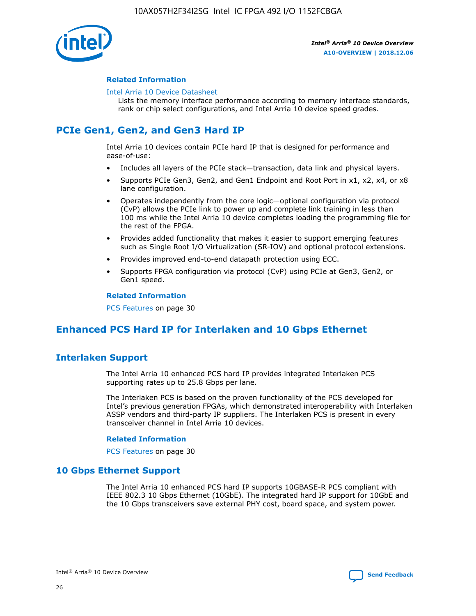

#### **Related Information**

#### [Intel Arria 10 Device Datasheet](https://www.intel.com/content/www/us/en/programmable/documentation/mcn1413182292568.html#mcn1413182153340)

Lists the memory interface performance according to memory interface standards, rank or chip select configurations, and Intel Arria 10 device speed grades.

# **PCIe Gen1, Gen2, and Gen3 Hard IP**

Intel Arria 10 devices contain PCIe hard IP that is designed for performance and ease-of-use:

- Includes all layers of the PCIe stack—transaction, data link and physical layers.
- Supports PCIe Gen3, Gen2, and Gen1 Endpoint and Root Port in x1, x2, x4, or x8 lane configuration.
- Operates independently from the core logic—optional configuration via protocol (CvP) allows the PCIe link to power up and complete link training in less than 100 ms while the Intel Arria 10 device completes loading the programming file for the rest of the FPGA.
- Provides added functionality that makes it easier to support emerging features such as Single Root I/O Virtualization (SR-IOV) and optional protocol extensions.
- Provides improved end-to-end datapath protection using ECC.
- Supports FPGA configuration via protocol (CvP) using PCIe at Gen3, Gen2, or Gen1 speed.

#### **Related Information**

PCS Features on page 30

## **Enhanced PCS Hard IP for Interlaken and 10 Gbps Ethernet**

## **Interlaken Support**

The Intel Arria 10 enhanced PCS hard IP provides integrated Interlaken PCS supporting rates up to 25.8 Gbps per lane.

The Interlaken PCS is based on the proven functionality of the PCS developed for Intel's previous generation FPGAs, which demonstrated interoperability with Interlaken ASSP vendors and third-party IP suppliers. The Interlaken PCS is present in every transceiver channel in Intel Arria 10 devices.

#### **Related Information**

PCS Features on page 30

## **10 Gbps Ethernet Support**

The Intel Arria 10 enhanced PCS hard IP supports 10GBASE-R PCS compliant with IEEE 802.3 10 Gbps Ethernet (10GbE). The integrated hard IP support for 10GbE and the 10 Gbps transceivers save external PHY cost, board space, and system power.

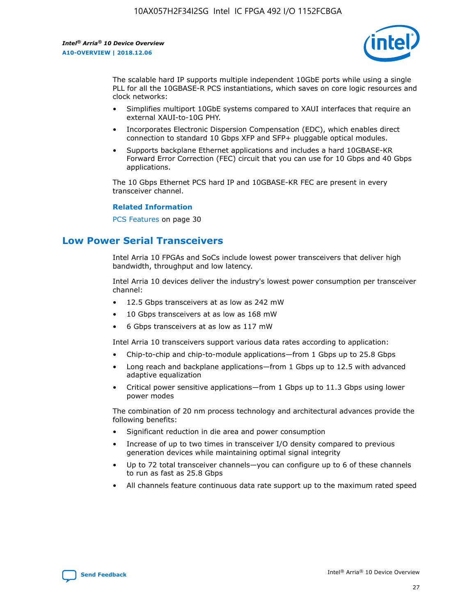

The scalable hard IP supports multiple independent 10GbE ports while using a single PLL for all the 10GBASE-R PCS instantiations, which saves on core logic resources and clock networks:

- Simplifies multiport 10GbE systems compared to XAUI interfaces that require an external XAUI-to-10G PHY.
- Incorporates Electronic Dispersion Compensation (EDC), which enables direct connection to standard 10 Gbps XFP and SFP+ pluggable optical modules.
- Supports backplane Ethernet applications and includes a hard 10GBASE-KR Forward Error Correction (FEC) circuit that you can use for 10 Gbps and 40 Gbps applications.

The 10 Gbps Ethernet PCS hard IP and 10GBASE-KR FEC are present in every transceiver channel.

#### **Related Information**

PCS Features on page 30

## **Low Power Serial Transceivers**

Intel Arria 10 FPGAs and SoCs include lowest power transceivers that deliver high bandwidth, throughput and low latency.

Intel Arria 10 devices deliver the industry's lowest power consumption per transceiver channel:

- 12.5 Gbps transceivers at as low as 242 mW
- 10 Gbps transceivers at as low as 168 mW
- 6 Gbps transceivers at as low as 117 mW

Intel Arria 10 transceivers support various data rates according to application:

- Chip-to-chip and chip-to-module applications—from 1 Gbps up to 25.8 Gbps
- Long reach and backplane applications—from 1 Gbps up to 12.5 with advanced adaptive equalization
- Critical power sensitive applications—from 1 Gbps up to 11.3 Gbps using lower power modes

The combination of 20 nm process technology and architectural advances provide the following benefits:

- Significant reduction in die area and power consumption
- Increase of up to two times in transceiver I/O density compared to previous generation devices while maintaining optimal signal integrity
- Up to 72 total transceiver channels—you can configure up to 6 of these channels to run as fast as 25.8 Gbps
- All channels feature continuous data rate support up to the maximum rated speed

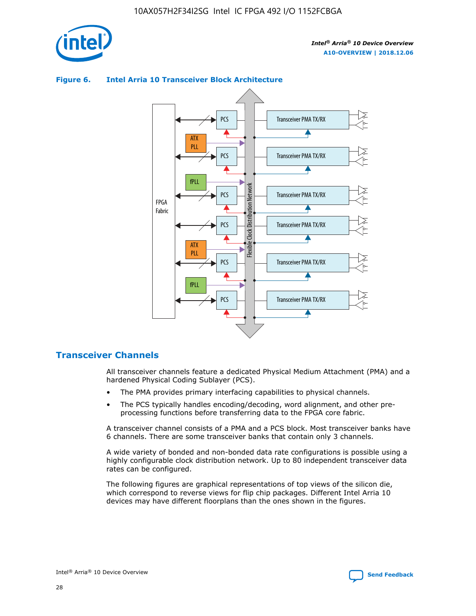



## **Figure 6. Intel Arria 10 Transceiver Block Architecture**

## **Transceiver Channels**

All transceiver channels feature a dedicated Physical Medium Attachment (PMA) and a hardened Physical Coding Sublayer (PCS).

- The PMA provides primary interfacing capabilities to physical channels.
- The PCS typically handles encoding/decoding, word alignment, and other preprocessing functions before transferring data to the FPGA core fabric.

A transceiver channel consists of a PMA and a PCS block. Most transceiver banks have 6 channels. There are some transceiver banks that contain only 3 channels.

A wide variety of bonded and non-bonded data rate configurations is possible using a highly configurable clock distribution network. Up to 80 independent transceiver data rates can be configured.

The following figures are graphical representations of top views of the silicon die, which correspond to reverse views for flip chip packages. Different Intel Arria 10 devices may have different floorplans than the ones shown in the figures.

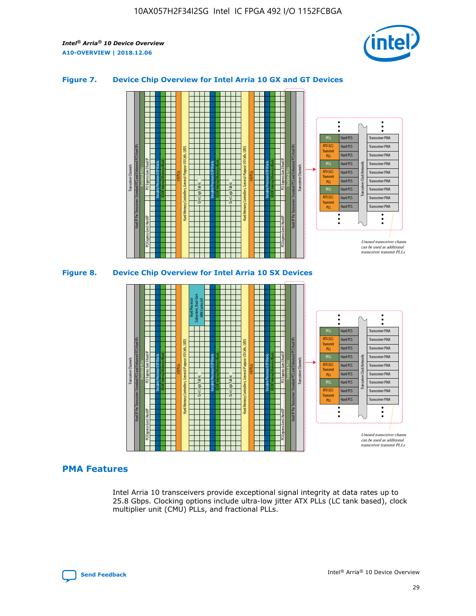

## **Figure 7. Device Chip Overview for Intel Arria 10 GX and GT Devices**



M20K Internal Memory Blocks Core Logic Fabric Transceiver Channels Hard IP Per Transceiver: Standard PCS and Enhanced PCS Hard IPs PCI Express Gen3 Hard IP Fractional PLLs M20K Internal Memory Blocks PCI Express Gen3 Hard IP Variable Precision DSP Blocks I/O PLLs Hard Memory Controllers, General-Purpose I/O Cells, LVDS Hard Processor Subsystem, Dual-Core ARM Cortex A9 M20K Internal Memory Blocks Variable Precision DSP Blocks M20K Internal Memory Blocks Core Logic Fabric I/O PLLs Hard Memory Controllers, General-Purpose I/O Cells, LVDS M20K Internal Memory Blocks Variable Precision DSP Blocks M20K Internal Memory Blocks Transceiver Channels Hard IP Per Transceiver: Standard PCS and Enhanced PCS Hard IPs PCI Express Gen3 Hard IP Fractional PLLs PCI Express Gen3 Hard IP  $\ddot{\cdot}$ Hard PCS Transceiver PMA fPLL ATX (LC) Hard PCS Transceiver PMA **Transmit** Hard PCS Transceiver PMA PLL fPLL Hard PCS Transceiver PMA Transceiver Clock Networks ATX (LC) Hard PCS Transceiver PMA Transmi Hard PCS Transceiver PMA PLL fPLL Hard PCS Transceiver PMA Transceiver PMA Hard PCS ATX (LC) **Transmit** Hard PCS Transceiver PMA PLL Unused transceiver chann can be used as additional transceiver transmit PLLs

## **PMA Features**

Intel Arria 10 transceivers provide exceptional signal integrity at data rates up to 25.8 Gbps. Clocking options include ultra-low jitter ATX PLLs (LC tank based), clock multiplier unit (CMU) PLLs, and fractional PLLs.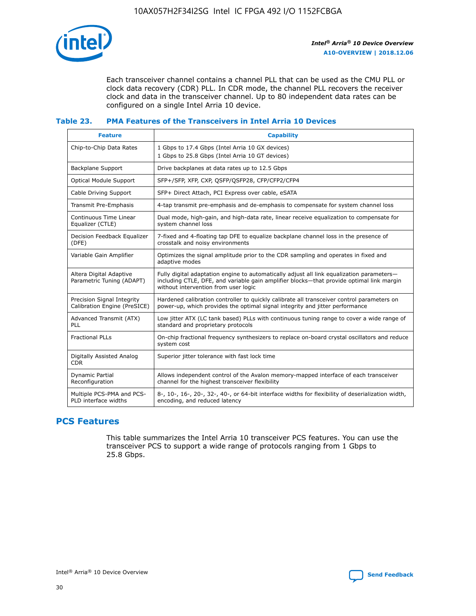

Each transceiver channel contains a channel PLL that can be used as the CMU PLL or clock data recovery (CDR) PLL. In CDR mode, the channel PLL recovers the receiver clock and data in the transceiver channel. Up to 80 independent data rates can be configured on a single Intel Arria 10 device.

## **Table 23. PMA Features of the Transceivers in Intel Arria 10 Devices**

| <b>Feature</b>                                             | <b>Capability</b>                                                                                                                                                                                                             |
|------------------------------------------------------------|-------------------------------------------------------------------------------------------------------------------------------------------------------------------------------------------------------------------------------|
| Chip-to-Chip Data Rates                                    | 1 Gbps to 17.4 Gbps (Intel Arria 10 GX devices)<br>1 Gbps to 25.8 Gbps (Intel Arria 10 GT devices)                                                                                                                            |
| Backplane Support                                          | Drive backplanes at data rates up to 12.5 Gbps                                                                                                                                                                                |
| Optical Module Support                                     | SFP+/SFP, XFP, CXP, QSFP/QSFP28, CFP/CFP2/CFP4                                                                                                                                                                                |
| Cable Driving Support                                      | SFP+ Direct Attach, PCI Express over cable, eSATA                                                                                                                                                                             |
| Transmit Pre-Emphasis                                      | 4-tap transmit pre-emphasis and de-emphasis to compensate for system channel loss                                                                                                                                             |
| Continuous Time Linear<br>Equalizer (CTLE)                 | Dual mode, high-gain, and high-data rate, linear receive equalization to compensate for<br>system channel loss                                                                                                                |
| Decision Feedback Equalizer<br>(DFE)                       | 7-fixed and 4-floating tap DFE to equalize backplane channel loss in the presence of<br>crosstalk and noisy environments                                                                                                      |
| Variable Gain Amplifier                                    | Optimizes the signal amplitude prior to the CDR sampling and operates in fixed and<br>adaptive modes                                                                                                                          |
| Altera Digital Adaptive<br>Parametric Tuning (ADAPT)       | Fully digital adaptation engine to automatically adjust all link equalization parameters-<br>including CTLE, DFE, and variable gain amplifier blocks—that provide optimal link margin<br>without intervention from user logic |
| Precision Signal Integrity<br>Calibration Engine (PreSICE) | Hardened calibration controller to quickly calibrate all transceiver control parameters on<br>power-up, which provides the optimal signal integrity and jitter performance                                                    |
| Advanced Transmit (ATX)<br>PLL                             | Low jitter ATX (LC tank based) PLLs with continuous tuning range to cover a wide range of<br>standard and proprietary protocols                                                                                               |
| <b>Fractional PLLs</b>                                     | On-chip fractional frequency synthesizers to replace on-board crystal oscillators and reduce<br>system cost                                                                                                                   |
| Digitally Assisted Analog<br><b>CDR</b>                    | Superior jitter tolerance with fast lock time                                                                                                                                                                                 |
| <b>Dynamic Partial</b><br>Reconfiguration                  | Allows independent control of the Avalon memory-mapped interface of each transceiver<br>channel for the highest transceiver flexibility                                                                                       |
| Multiple PCS-PMA and PCS-<br>PLD interface widths          | 8-, 10-, 16-, 20-, 32-, 40-, or 64-bit interface widths for flexibility of deserialization width,<br>encoding, and reduced latency                                                                                            |

## **PCS Features**

This table summarizes the Intel Arria 10 transceiver PCS features. You can use the transceiver PCS to support a wide range of protocols ranging from 1 Gbps to 25.8 Gbps.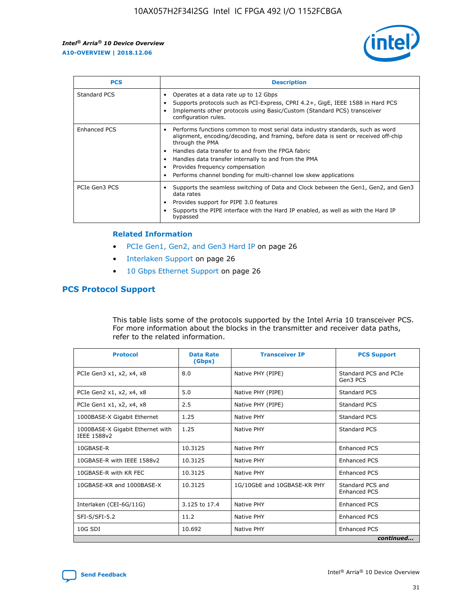

| <b>PCS</b>    | <b>Description</b>                                                                                                                                                                                                                                                                                                                                                                                             |
|---------------|----------------------------------------------------------------------------------------------------------------------------------------------------------------------------------------------------------------------------------------------------------------------------------------------------------------------------------------------------------------------------------------------------------------|
| Standard PCS  | Operates at a data rate up to 12 Gbps<br>Supports protocols such as PCI-Express, CPRI 4.2+, GigE, IEEE 1588 in Hard PCS<br>Implements other protocols using Basic/Custom (Standard PCS) transceiver<br>configuration rules.                                                                                                                                                                                    |
| Enhanced PCS  | Performs functions common to most serial data industry standards, such as word<br>alignment, encoding/decoding, and framing, before data is sent or received off-chip<br>through the PMA<br>• Handles data transfer to and from the FPGA fabric<br>Handles data transfer internally to and from the PMA<br>Provides frequency compensation<br>Performs channel bonding for multi-channel low skew applications |
| PCIe Gen3 PCS | Supports the seamless switching of Data and Clock between the Gen1, Gen2, and Gen3<br>data rates<br>Provides support for PIPE 3.0 features<br>Supports the PIPE interface with the Hard IP enabled, as well as with the Hard IP<br>bypassed                                                                                                                                                                    |

#### **Related Information**

- PCIe Gen1, Gen2, and Gen3 Hard IP on page 26
- Interlaken Support on page 26
- 10 Gbps Ethernet Support on page 26

## **PCS Protocol Support**

This table lists some of the protocols supported by the Intel Arria 10 transceiver PCS. For more information about the blocks in the transmitter and receiver data paths, refer to the related information.

| <b>Protocol</b>                                 | <b>Data Rate</b><br>(Gbps) | <b>Transceiver IP</b>       | <b>PCS Support</b>                      |
|-------------------------------------------------|----------------------------|-----------------------------|-----------------------------------------|
| PCIe Gen3 x1, x2, x4, x8                        | 8.0                        | Native PHY (PIPE)           | Standard PCS and PCIe<br>Gen3 PCS       |
| PCIe Gen2 x1, x2, x4, x8                        | 5.0                        | Native PHY (PIPE)           | <b>Standard PCS</b>                     |
| PCIe Gen1 x1, x2, x4, x8                        | 2.5                        | Native PHY (PIPE)           | Standard PCS                            |
| 1000BASE-X Gigabit Ethernet                     | 1.25                       | Native PHY                  | <b>Standard PCS</b>                     |
| 1000BASE-X Gigabit Ethernet with<br>IEEE 1588v2 | 1.25                       | Native PHY                  | Standard PCS                            |
| 10GBASE-R                                       | 10.3125                    | Native PHY                  | <b>Enhanced PCS</b>                     |
| 10GBASE-R with IEEE 1588v2                      | 10.3125                    | Native PHY                  | <b>Enhanced PCS</b>                     |
| 10GBASE-R with KR FEC                           | 10.3125                    | Native PHY                  | <b>Enhanced PCS</b>                     |
| 10GBASE-KR and 1000BASE-X                       | 10.3125                    | 1G/10GbE and 10GBASE-KR PHY | Standard PCS and<br><b>Enhanced PCS</b> |
| Interlaken (CEI-6G/11G)                         | 3.125 to 17.4              | Native PHY                  | <b>Enhanced PCS</b>                     |
| SFI-S/SFI-5.2                                   | 11.2                       | Native PHY                  | <b>Enhanced PCS</b>                     |
| $10G$ SDI                                       | 10.692                     | Native PHY                  | <b>Enhanced PCS</b>                     |
|                                                 |                            |                             | continued                               |

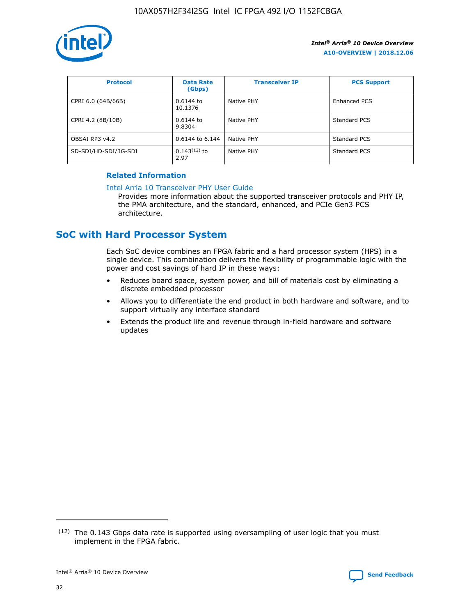

| <b>Protocol</b>      | <b>Data Rate</b><br>(Gbps) | <b>Transceiver IP</b> | <b>PCS Support</b> |
|----------------------|----------------------------|-----------------------|--------------------|
| CPRI 6.0 (64B/66B)   | 0.6144 to<br>10.1376       | Native PHY            | Enhanced PCS       |
| CPRI 4.2 (8B/10B)    | 0.6144 to<br>9.8304        | Native PHY            | Standard PCS       |
| OBSAI RP3 v4.2       | 0.6144 to 6.144            | Native PHY            | Standard PCS       |
| SD-SDI/HD-SDI/3G-SDI | $0.143(12)$ to<br>2.97     | Native PHY            | Standard PCS       |

## **Related Information**

#### [Intel Arria 10 Transceiver PHY User Guide](https://www.intel.com/content/www/us/en/programmable/documentation/nik1398707230472.html#nik1398707091164)

Provides more information about the supported transceiver protocols and PHY IP, the PMA architecture, and the standard, enhanced, and PCIe Gen3 PCS architecture.

## **SoC with Hard Processor System**

Each SoC device combines an FPGA fabric and a hard processor system (HPS) in a single device. This combination delivers the flexibility of programmable logic with the power and cost savings of hard IP in these ways:

- Reduces board space, system power, and bill of materials cost by eliminating a discrete embedded processor
- Allows you to differentiate the end product in both hardware and software, and to support virtually any interface standard
- Extends the product life and revenue through in-field hardware and software updates

 $(12)$  The 0.143 Gbps data rate is supported using oversampling of user logic that you must implement in the FPGA fabric.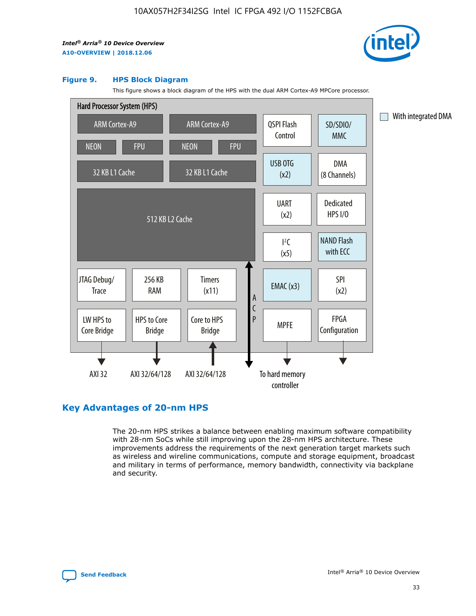

#### **Figure 9. HPS Block Diagram**

This figure shows a block diagram of the HPS with the dual ARM Cortex-A9 MPCore processor.



## **Key Advantages of 20-nm HPS**

The 20-nm HPS strikes a balance between enabling maximum software compatibility with 28-nm SoCs while still improving upon the 28-nm HPS architecture. These improvements address the requirements of the next generation target markets such as wireless and wireline communications, compute and storage equipment, broadcast and military in terms of performance, memory bandwidth, connectivity via backplane and security.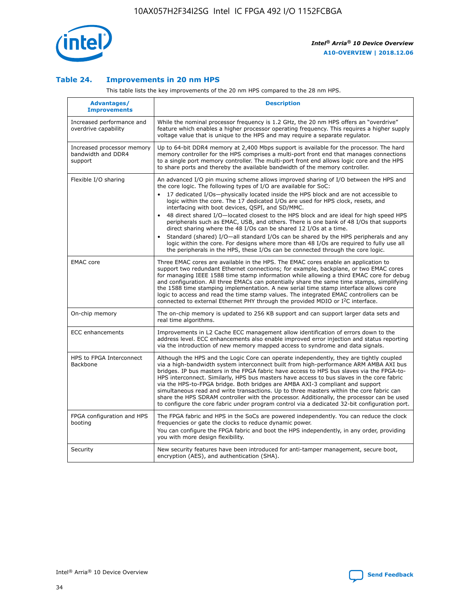

## **Table 24. Improvements in 20 nm HPS**

This table lists the key improvements of the 20 nm HPS compared to the 28 nm HPS.

| Advantages/<br><b>Improvements</b>                          | <b>Description</b>                                                                                                                                                                                                                                                                                                                                                                                                                                                                                                                                                                                                                                                                                                                                                                                                                                                                                                      |
|-------------------------------------------------------------|-------------------------------------------------------------------------------------------------------------------------------------------------------------------------------------------------------------------------------------------------------------------------------------------------------------------------------------------------------------------------------------------------------------------------------------------------------------------------------------------------------------------------------------------------------------------------------------------------------------------------------------------------------------------------------------------------------------------------------------------------------------------------------------------------------------------------------------------------------------------------------------------------------------------------|
| Increased performance and<br>overdrive capability           | While the nominal processor frequency is 1.2 GHz, the 20 nm HPS offers an "overdrive"<br>feature which enables a higher processor operating frequency. This requires a higher supply<br>voltage value that is unique to the HPS and may require a separate regulator.                                                                                                                                                                                                                                                                                                                                                                                                                                                                                                                                                                                                                                                   |
| Increased processor memory<br>bandwidth and DDR4<br>support | Up to 64-bit DDR4 memory at 2,400 Mbps support is available for the processor. The hard<br>memory controller for the HPS comprises a multi-port front end that manages connections<br>to a single port memory controller. The multi-port front end allows logic core and the HPS<br>to share ports and thereby the available bandwidth of the memory controller.                                                                                                                                                                                                                                                                                                                                                                                                                                                                                                                                                        |
| Flexible I/O sharing                                        | An advanced I/O pin muxing scheme allows improved sharing of I/O between the HPS and<br>the core logic. The following types of I/O are available for SoC:<br>17 dedicated I/Os-physically located inside the HPS block and are not accessible to<br>logic within the core. The 17 dedicated I/Os are used for HPS clock, resets, and<br>interfacing with boot devices, QSPI, and SD/MMC.<br>48 direct shared I/O-located closest to the HPS block and are ideal for high speed HPS<br>peripherals such as EMAC, USB, and others. There is one bank of 48 I/Os that supports<br>direct sharing where the 48 I/Os can be shared 12 I/Os at a time.<br>Standard (shared) I/O—all standard I/Os can be shared by the HPS peripherals and any<br>logic within the core. For designs where more than 48 I/Os are required to fully use all<br>the peripherals in the HPS, these I/Os can be connected through the core logic. |
| <b>EMAC</b> core                                            | Three EMAC cores are available in the HPS. The EMAC cores enable an application to<br>support two redundant Ethernet connections; for example, backplane, or two EMAC cores<br>for managing IEEE 1588 time stamp information while allowing a third EMAC core for debug<br>and configuration. All three EMACs can potentially share the same time stamps, simplifying<br>the 1588 time stamping implementation. A new serial time stamp interface allows core<br>logic to access and read the time stamp values. The integrated EMAC controllers can be<br>connected to external Ethernet PHY through the provided MDIO or I <sup>2</sup> C interface.                                                                                                                                                                                                                                                                  |
| On-chip memory                                              | The on-chip memory is updated to 256 KB support and can support larger data sets and<br>real time algorithms.                                                                                                                                                                                                                                                                                                                                                                                                                                                                                                                                                                                                                                                                                                                                                                                                           |
| <b>ECC</b> enhancements                                     | Improvements in L2 Cache ECC management allow identification of errors down to the<br>address level. ECC enhancements also enable improved error injection and status reporting<br>via the introduction of new memory mapped access to syndrome and data signals.                                                                                                                                                                                                                                                                                                                                                                                                                                                                                                                                                                                                                                                       |
| HPS to FPGA Interconnect<br>Backbone                        | Although the HPS and the Logic Core can operate independently, they are tightly coupled<br>via a high-bandwidth system interconnect built from high-performance ARM AMBA AXI bus<br>bridges. IP bus masters in the FPGA fabric have access to HPS bus slaves via the FPGA-to-<br>HPS interconnect. Similarly, HPS bus masters have access to bus slaves in the core fabric<br>via the HPS-to-FPGA bridge. Both bridges are AMBA AXI-3 compliant and support<br>simultaneous read and write transactions. Up to three masters within the core fabric can<br>share the HPS SDRAM controller with the processor. Additionally, the processor can be used<br>to configure the core fabric under program control via a dedicated 32-bit configuration port.                                                                                                                                                                  |
| FPGA configuration and HPS<br>booting                       | The FPGA fabric and HPS in the SoCs are powered independently. You can reduce the clock<br>frequencies or gate the clocks to reduce dynamic power.<br>You can configure the FPGA fabric and boot the HPS independently, in any order, providing<br>you with more design flexibility.                                                                                                                                                                                                                                                                                                                                                                                                                                                                                                                                                                                                                                    |
| Security                                                    | New security features have been introduced for anti-tamper management, secure boot,<br>encryption (AES), and authentication (SHA).                                                                                                                                                                                                                                                                                                                                                                                                                                                                                                                                                                                                                                                                                                                                                                                      |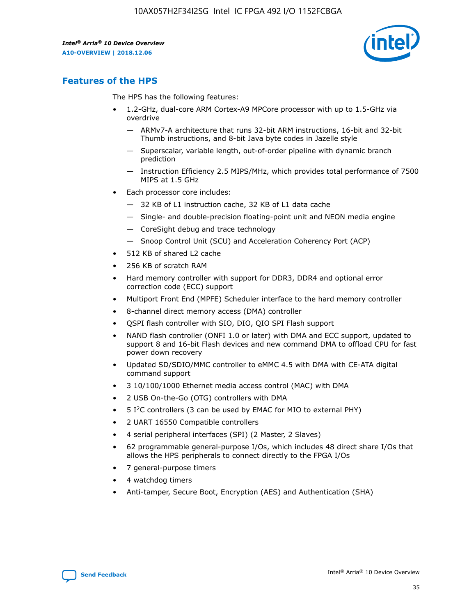

## **Features of the HPS**

The HPS has the following features:

- 1.2-GHz, dual-core ARM Cortex-A9 MPCore processor with up to 1.5-GHz via overdrive
	- ARMv7-A architecture that runs 32-bit ARM instructions, 16-bit and 32-bit Thumb instructions, and 8-bit Java byte codes in Jazelle style
	- Superscalar, variable length, out-of-order pipeline with dynamic branch prediction
	- Instruction Efficiency 2.5 MIPS/MHz, which provides total performance of 7500 MIPS at 1.5 GHz
- Each processor core includes:
	- 32 KB of L1 instruction cache, 32 KB of L1 data cache
	- Single- and double-precision floating-point unit and NEON media engine
	- CoreSight debug and trace technology
	- Snoop Control Unit (SCU) and Acceleration Coherency Port (ACP)
- 512 KB of shared L2 cache
- 256 KB of scratch RAM
- Hard memory controller with support for DDR3, DDR4 and optional error correction code (ECC) support
- Multiport Front End (MPFE) Scheduler interface to the hard memory controller
- 8-channel direct memory access (DMA) controller
- QSPI flash controller with SIO, DIO, QIO SPI Flash support
- NAND flash controller (ONFI 1.0 or later) with DMA and ECC support, updated to support 8 and 16-bit Flash devices and new command DMA to offload CPU for fast power down recovery
- Updated SD/SDIO/MMC controller to eMMC 4.5 with DMA with CE-ATA digital command support
- 3 10/100/1000 Ethernet media access control (MAC) with DMA
- 2 USB On-the-Go (OTG) controllers with DMA
- $\bullet$  5 I<sup>2</sup>C controllers (3 can be used by EMAC for MIO to external PHY)
- 2 UART 16550 Compatible controllers
- 4 serial peripheral interfaces (SPI) (2 Master, 2 Slaves)
- 62 programmable general-purpose I/Os, which includes 48 direct share I/Os that allows the HPS peripherals to connect directly to the FPGA I/Os
- 7 general-purpose timers
- 4 watchdog timers
- Anti-tamper, Secure Boot, Encryption (AES) and Authentication (SHA)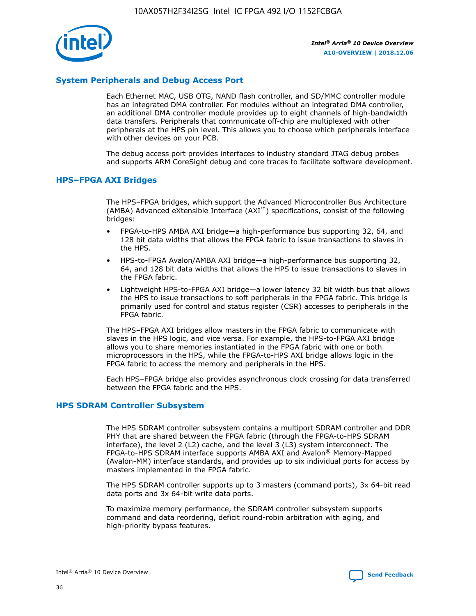

## **System Peripherals and Debug Access Port**

Each Ethernet MAC, USB OTG, NAND flash controller, and SD/MMC controller module has an integrated DMA controller. For modules without an integrated DMA controller, an additional DMA controller module provides up to eight channels of high-bandwidth data transfers. Peripherals that communicate off-chip are multiplexed with other peripherals at the HPS pin level. This allows you to choose which peripherals interface with other devices on your PCB.

The debug access port provides interfaces to industry standard JTAG debug probes and supports ARM CoreSight debug and core traces to facilitate software development.

## **HPS–FPGA AXI Bridges**

The HPS–FPGA bridges, which support the Advanced Microcontroller Bus Architecture (AMBA) Advanced eXtensible Interface (AXI™) specifications, consist of the following bridges:

- FPGA-to-HPS AMBA AXI bridge—a high-performance bus supporting 32, 64, and 128 bit data widths that allows the FPGA fabric to issue transactions to slaves in the HPS.
- HPS-to-FPGA Avalon/AMBA AXI bridge—a high-performance bus supporting 32, 64, and 128 bit data widths that allows the HPS to issue transactions to slaves in the FPGA fabric.
- Lightweight HPS-to-FPGA AXI bridge—a lower latency 32 bit width bus that allows the HPS to issue transactions to soft peripherals in the FPGA fabric. This bridge is primarily used for control and status register (CSR) accesses to peripherals in the FPGA fabric.

The HPS–FPGA AXI bridges allow masters in the FPGA fabric to communicate with slaves in the HPS logic, and vice versa. For example, the HPS-to-FPGA AXI bridge allows you to share memories instantiated in the FPGA fabric with one or both microprocessors in the HPS, while the FPGA-to-HPS AXI bridge allows logic in the FPGA fabric to access the memory and peripherals in the HPS.

Each HPS–FPGA bridge also provides asynchronous clock crossing for data transferred between the FPGA fabric and the HPS.

#### **HPS SDRAM Controller Subsystem**

The HPS SDRAM controller subsystem contains a multiport SDRAM controller and DDR PHY that are shared between the FPGA fabric (through the FPGA-to-HPS SDRAM interface), the level 2 (L2) cache, and the level 3 (L3) system interconnect. The FPGA-to-HPS SDRAM interface supports AMBA AXI and Avalon® Memory-Mapped (Avalon-MM) interface standards, and provides up to six individual ports for access by masters implemented in the FPGA fabric.

The HPS SDRAM controller supports up to 3 masters (command ports), 3x 64-bit read data ports and 3x 64-bit write data ports.

To maximize memory performance, the SDRAM controller subsystem supports command and data reordering, deficit round-robin arbitration with aging, and high-priority bypass features.

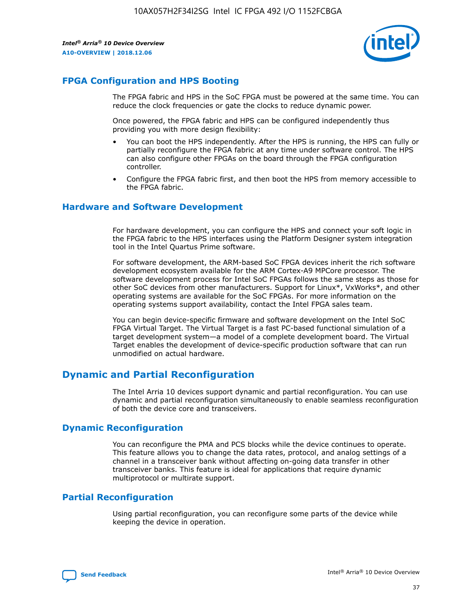

## **FPGA Configuration and HPS Booting**

The FPGA fabric and HPS in the SoC FPGA must be powered at the same time. You can reduce the clock frequencies or gate the clocks to reduce dynamic power.

Once powered, the FPGA fabric and HPS can be configured independently thus providing you with more design flexibility:

- You can boot the HPS independently. After the HPS is running, the HPS can fully or partially reconfigure the FPGA fabric at any time under software control. The HPS can also configure other FPGAs on the board through the FPGA configuration controller.
- Configure the FPGA fabric first, and then boot the HPS from memory accessible to the FPGA fabric.

## **Hardware and Software Development**

For hardware development, you can configure the HPS and connect your soft logic in the FPGA fabric to the HPS interfaces using the Platform Designer system integration tool in the Intel Quartus Prime software.

For software development, the ARM-based SoC FPGA devices inherit the rich software development ecosystem available for the ARM Cortex-A9 MPCore processor. The software development process for Intel SoC FPGAs follows the same steps as those for other SoC devices from other manufacturers. Support for Linux\*, VxWorks\*, and other operating systems are available for the SoC FPGAs. For more information on the operating systems support availability, contact the Intel FPGA sales team.

You can begin device-specific firmware and software development on the Intel SoC FPGA Virtual Target. The Virtual Target is a fast PC-based functional simulation of a target development system—a model of a complete development board. The Virtual Target enables the development of device-specific production software that can run unmodified on actual hardware.

## **Dynamic and Partial Reconfiguration**

The Intel Arria 10 devices support dynamic and partial reconfiguration. You can use dynamic and partial reconfiguration simultaneously to enable seamless reconfiguration of both the device core and transceivers.

## **Dynamic Reconfiguration**

You can reconfigure the PMA and PCS blocks while the device continues to operate. This feature allows you to change the data rates, protocol, and analog settings of a channel in a transceiver bank without affecting on-going data transfer in other transceiver banks. This feature is ideal for applications that require dynamic multiprotocol or multirate support.

## **Partial Reconfiguration**

Using partial reconfiguration, you can reconfigure some parts of the device while keeping the device in operation.

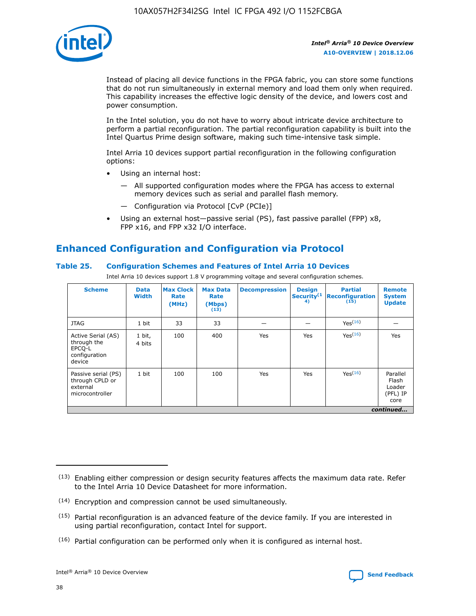

Instead of placing all device functions in the FPGA fabric, you can store some functions that do not run simultaneously in external memory and load them only when required. This capability increases the effective logic density of the device, and lowers cost and power consumption.

In the Intel solution, you do not have to worry about intricate device architecture to perform a partial reconfiguration. The partial reconfiguration capability is built into the Intel Quartus Prime design software, making such time-intensive task simple.

Intel Arria 10 devices support partial reconfiguration in the following configuration options:

- Using an internal host:
	- All supported configuration modes where the FPGA has access to external memory devices such as serial and parallel flash memory.
	- Configuration via Protocol [CvP (PCIe)]
- Using an external host—passive serial (PS), fast passive parallel (FPP) x8, FPP x16, and FPP x32 I/O interface.

# **Enhanced Configuration and Configuration via Protocol**

## **Table 25. Configuration Schemes and Features of Intel Arria 10 Devices**

Intel Arria 10 devices support 1.8 V programming voltage and several configuration schemes.

| <b>Scheme</b>                                                          | <b>Data</b><br><b>Width</b> | <b>Max Clock</b><br>Rate<br>(MHz) | <b>Max Data</b><br>Rate<br>(Mbps)<br>(13) | <b>Decompression</b> | <b>Design</b><br>Security <sup>(1</sup><br>4) | <b>Partial</b><br><b>Reconfiguration</b><br>(15) | <b>Remote</b><br><b>System</b><br><b>Update</b> |
|------------------------------------------------------------------------|-----------------------------|-----------------------------------|-------------------------------------------|----------------------|-----------------------------------------------|--------------------------------------------------|-------------------------------------------------|
| <b>JTAG</b>                                                            | 1 bit                       | 33                                | 33                                        |                      |                                               | Yes(16)                                          |                                                 |
| Active Serial (AS)<br>through the<br>EPCO-L<br>configuration<br>device | 1 bit,<br>4 bits            | 100                               | 400                                       | Yes                  | Yes                                           | $Y_{PS}(16)$                                     | Yes                                             |
| Passive serial (PS)<br>through CPLD or<br>external<br>microcontroller  | 1 bit                       | 100                               | 100                                       | Yes                  | Yes                                           | Yes(16)                                          | Parallel<br>Flash<br>Loader<br>(PFL) IP<br>core |
|                                                                        |                             |                                   |                                           |                      |                                               |                                                  | continued                                       |

<sup>(13)</sup> Enabling either compression or design security features affects the maximum data rate. Refer to the Intel Arria 10 Device Datasheet for more information.

<sup>(14)</sup> Encryption and compression cannot be used simultaneously.

 $<sup>(15)</sup>$  Partial reconfiguration is an advanced feature of the device family. If you are interested in</sup> using partial reconfiguration, contact Intel for support.

 $(16)$  Partial configuration can be performed only when it is configured as internal host.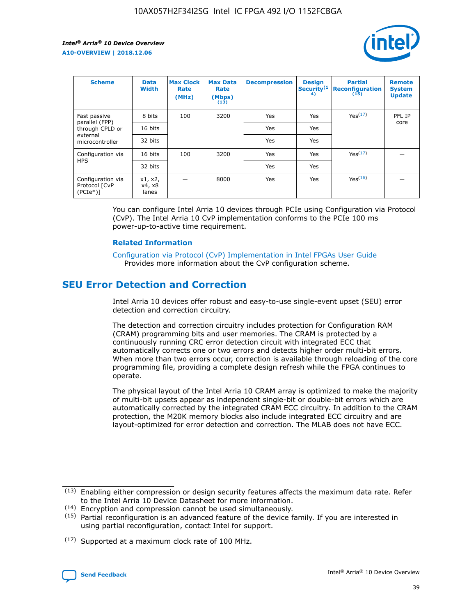

| <b>Scheme</b>                                   | <b>Data</b><br><b>Width</b> | <b>Max Clock</b><br>Rate<br>(MHz) | <b>Max Data</b><br>Rate<br>(Mbps)<br>(13) | <b>Decompression</b> | <b>Design</b><br>Security <sup>(1</sup><br>4) | <b>Partial</b><br><b>Reconfiguration</b><br>(15) | <b>Remote</b><br><b>System</b><br><b>Update</b> |
|-------------------------------------------------|-----------------------------|-----------------------------------|-------------------------------------------|----------------------|-----------------------------------------------|--------------------------------------------------|-------------------------------------------------|
| Fast passive                                    | 8 bits                      | 100                               | 3200                                      | Yes                  | Yes                                           | Yes <sup>(17)</sup>                              | PFL IP                                          |
| parallel (FPP)<br>through CPLD or               | 16 bits                     |                                   |                                           | Yes                  | Yes                                           |                                                  | core                                            |
| external<br>microcontroller                     | 32 bits                     |                                   |                                           | Yes                  | Yes                                           |                                                  |                                                 |
| Configuration via                               | 16 bits                     | 100                               | 3200                                      | Yes                  | Yes                                           | Yes <sup>(17)</sup>                              |                                                 |
| <b>HPS</b>                                      | 32 bits                     |                                   |                                           | Yes                  | Yes                                           |                                                  |                                                 |
| Configuration via<br>Protocol [CvP<br>$(PCIe*)$ | x1, x2,<br>x4, x8<br>lanes  |                                   | 8000                                      | Yes                  | Yes                                           | Yes <sup>(16)</sup>                              |                                                 |

You can configure Intel Arria 10 devices through PCIe using Configuration via Protocol (CvP). The Intel Arria 10 CvP implementation conforms to the PCIe 100 ms power-up-to-active time requirement.

#### **Related Information**

[Configuration via Protocol \(CvP\) Implementation in Intel FPGAs User Guide](https://www.intel.com/content/www/us/en/programmable/documentation/dsu1441819344145.html#dsu1442269728522) Provides more information about the CvP configuration scheme.

## **SEU Error Detection and Correction**

Intel Arria 10 devices offer robust and easy-to-use single-event upset (SEU) error detection and correction circuitry.

The detection and correction circuitry includes protection for Configuration RAM (CRAM) programming bits and user memories. The CRAM is protected by a continuously running CRC error detection circuit with integrated ECC that automatically corrects one or two errors and detects higher order multi-bit errors. When more than two errors occur, correction is available through reloading of the core programming file, providing a complete design refresh while the FPGA continues to operate.

The physical layout of the Intel Arria 10 CRAM array is optimized to make the majority of multi-bit upsets appear as independent single-bit or double-bit errors which are automatically corrected by the integrated CRAM ECC circuitry. In addition to the CRAM protection, the M20K memory blocks also include integrated ECC circuitry and are layout-optimized for error detection and correction. The MLAB does not have ECC.

(14) Encryption and compression cannot be used simultaneously.

<sup>(17)</sup> Supported at a maximum clock rate of 100 MHz.



 $(13)$  Enabling either compression or design security features affects the maximum data rate. Refer to the Intel Arria 10 Device Datasheet for more information.

 $(15)$  Partial reconfiguration is an advanced feature of the device family. If you are interested in using partial reconfiguration, contact Intel for support.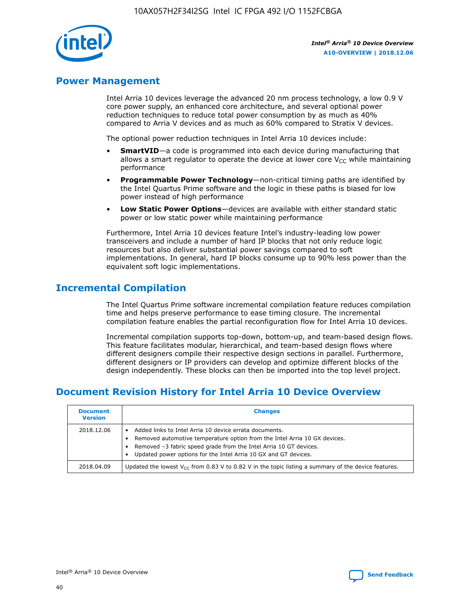

## **Power Management**

Intel Arria 10 devices leverage the advanced 20 nm process technology, a low 0.9 V core power supply, an enhanced core architecture, and several optional power reduction techniques to reduce total power consumption by as much as 40% compared to Arria V devices and as much as 60% compared to Stratix V devices.

The optional power reduction techniques in Intel Arria 10 devices include:

- **SmartVID**—a code is programmed into each device during manufacturing that allows a smart regulator to operate the device at lower core  $V_{CC}$  while maintaining performance
- **Programmable Power Technology**—non-critical timing paths are identified by the Intel Quartus Prime software and the logic in these paths is biased for low power instead of high performance
- **Low Static Power Options**—devices are available with either standard static power or low static power while maintaining performance

Furthermore, Intel Arria 10 devices feature Intel's industry-leading low power transceivers and include a number of hard IP blocks that not only reduce logic resources but also deliver substantial power savings compared to soft implementations. In general, hard IP blocks consume up to 90% less power than the equivalent soft logic implementations.

## **Incremental Compilation**

The Intel Quartus Prime software incremental compilation feature reduces compilation time and helps preserve performance to ease timing closure. The incremental compilation feature enables the partial reconfiguration flow for Intel Arria 10 devices.

Incremental compilation supports top-down, bottom-up, and team-based design flows. This feature facilitates modular, hierarchical, and team-based design flows where different designers compile their respective design sections in parallel. Furthermore, different designers or IP providers can develop and optimize different blocks of the design independently. These blocks can then be imported into the top level project.

# **Document Revision History for Intel Arria 10 Device Overview**

| <b>Document</b><br><b>Version</b> | <b>Changes</b>                                                                                                                                                                                                                                                              |
|-----------------------------------|-----------------------------------------------------------------------------------------------------------------------------------------------------------------------------------------------------------------------------------------------------------------------------|
| 2018.12.06                        | Added links to Intel Arria 10 device errata documents.<br>Removed automotive temperature option from the Intel Arria 10 GX devices.<br>Removed -3 fabric speed grade from the Intel Arria 10 GT devices.<br>Updated power options for the Intel Arria 10 GX and GT devices. |
| 2018.04.09                        | Updated the lowest $V_{CC}$ from 0.83 V to 0.82 V in the topic listing a summary of the device features.                                                                                                                                                                    |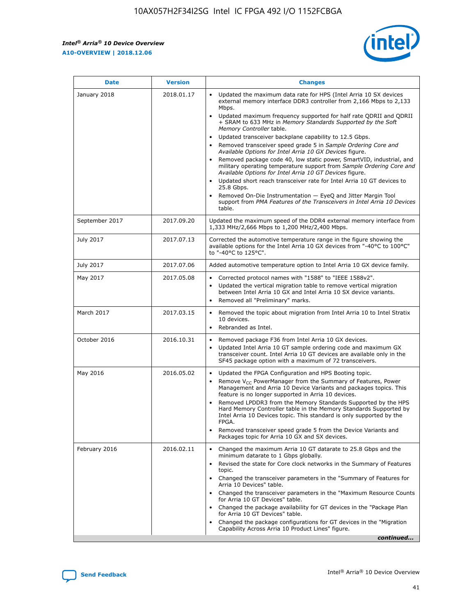*Intel® Arria® 10 Device Overview* **A10-OVERVIEW | 2018.12.06**



| <b>Date</b>    | <b>Version</b> | <b>Changes</b>                                                                                                                                                                                                                                                                                                                                                                                                                                                                                                                                                                                                                                                                                                                                                                                                                                                                                                                                                            |
|----------------|----------------|---------------------------------------------------------------------------------------------------------------------------------------------------------------------------------------------------------------------------------------------------------------------------------------------------------------------------------------------------------------------------------------------------------------------------------------------------------------------------------------------------------------------------------------------------------------------------------------------------------------------------------------------------------------------------------------------------------------------------------------------------------------------------------------------------------------------------------------------------------------------------------------------------------------------------------------------------------------------------|
| January 2018   | 2018.01.17     | Updated the maximum data rate for HPS (Intel Arria 10 SX devices<br>external memory interface DDR3 controller from 2,166 Mbps to 2,133<br>Mbps.<br>Updated maximum frequency supported for half rate QDRII and QDRII<br>+ SRAM to 633 MHz in Memory Standards Supported by the Soft<br>Memory Controller table.<br>Updated transceiver backplane capability to 12.5 Gbps.<br>$\bullet$<br>Removed transceiver speed grade 5 in Sample Ordering Core and<br>Available Options for Intel Arria 10 GX Devices figure.<br>Removed package code 40, low static power, SmartVID, industrial, and<br>military operating temperature support from Sample Ordering Core and<br>Available Options for Intel Arria 10 GT Devices figure.<br>Updated short reach transceiver rate for Intel Arria 10 GT devices to<br>25.8 Gbps.<br>Removed On-Die Instrumentation - EyeQ and Jitter Margin Tool<br>support from PMA Features of the Transceivers in Intel Arria 10 Devices<br>table. |
| September 2017 | 2017.09.20     | Updated the maximum speed of the DDR4 external memory interface from<br>1,333 MHz/2,666 Mbps to 1,200 MHz/2,400 Mbps.                                                                                                                                                                                                                                                                                                                                                                                                                                                                                                                                                                                                                                                                                                                                                                                                                                                     |
| July 2017      | 2017.07.13     | Corrected the automotive temperature range in the figure showing the<br>available options for the Intel Arria 10 GX devices from "-40°C to 100°C"<br>to "-40°C to 125°C".                                                                                                                                                                                                                                                                                                                                                                                                                                                                                                                                                                                                                                                                                                                                                                                                 |
| July 2017      | 2017.07.06     | Added automotive temperature option to Intel Arria 10 GX device family.                                                                                                                                                                                                                                                                                                                                                                                                                                                                                                                                                                                                                                                                                                                                                                                                                                                                                                   |
| May 2017       | 2017.05.08     | Corrected protocol names with "1588" to "IEEE 1588v2".<br>$\bullet$<br>Updated the vertical migration table to remove vertical migration<br>$\bullet$<br>between Intel Arria 10 GX and Intel Arria 10 SX device variants.<br>Removed all "Preliminary" marks.<br>$\bullet$                                                                                                                                                                                                                                                                                                                                                                                                                                                                                                                                                                                                                                                                                                |
| March 2017     | 2017.03.15     | Removed the topic about migration from Intel Arria 10 to Intel Stratix<br>10 devices.<br>Rebranded as Intel.<br>$\bullet$                                                                                                                                                                                                                                                                                                                                                                                                                                                                                                                                                                                                                                                                                                                                                                                                                                                 |
| October 2016   | 2016.10.31     | Removed package F36 from Intel Arria 10 GX devices.<br>Updated Intel Arria 10 GT sample ordering code and maximum GX<br>$\bullet$<br>transceiver count. Intel Arria 10 GT devices are available only in the<br>SF45 package option with a maximum of 72 transceivers.                                                                                                                                                                                                                                                                                                                                                                                                                                                                                                                                                                                                                                                                                                     |
| May 2016       | 2016.05.02     | Updated the FPGA Configuration and HPS Booting topic.<br>$\bullet$<br>Remove V <sub>CC</sub> PowerManager from the Summary of Features, Power<br>Management and Arria 10 Device Variants and packages topics. This<br>feature is no longer supported in Arria 10 devices.<br>Removed LPDDR3 from the Memory Standards Supported by the HPS<br>Hard Memory Controller table in the Memory Standards Supported by<br>Intel Arria 10 Devices topic. This standard is only supported by the<br>FPGA.<br>Removed transceiver speed grade 5 from the Device Variants and<br>Packages topic for Arria 10 GX and SX devices.                                                                                                                                                                                                                                                                                                                                                      |
| February 2016  | 2016.02.11     | Changed the maximum Arria 10 GT datarate to 25.8 Gbps and the<br>minimum datarate to 1 Gbps globally.<br>Revised the state for Core clock networks in the Summary of Features<br>$\bullet$<br>topic.<br>Changed the transceiver parameters in the "Summary of Features for<br>$\bullet$<br>Arria 10 Devices" table.<br>• Changed the transceiver parameters in the "Maximum Resource Counts<br>for Arria 10 GT Devices" table.<br>Changed the package availability for GT devices in the "Package Plan<br>for Arria 10 GT Devices" table.<br>Changed the package configurations for GT devices in the "Migration"<br>Capability Across Arria 10 Product Lines" figure.<br>continued                                                                                                                                                                                                                                                                                       |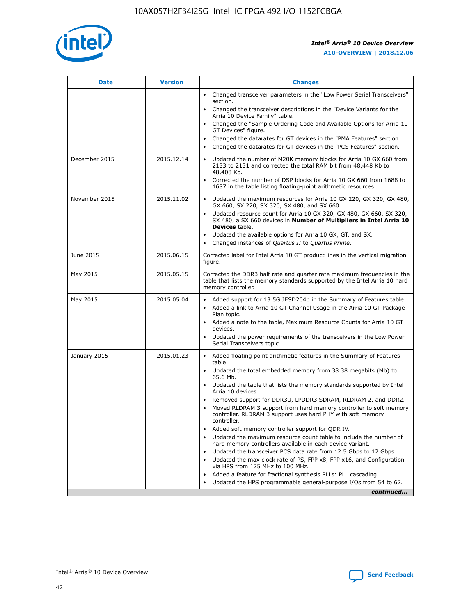

| <b>Date</b>   | <b>Version</b> | <b>Changes</b>                                                                                                                                                               |
|---------------|----------------|------------------------------------------------------------------------------------------------------------------------------------------------------------------------------|
|               |                | • Changed transceiver parameters in the "Low Power Serial Transceivers"<br>section.                                                                                          |
|               |                | • Changed the transceiver descriptions in the "Device Variants for the<br>Arria 10 Device Family" table.                                                                     |
|               |                | Changed the "Sample Ordering Code and Available Options for Arria 10<br>$\bullet$<br>GT Devices" figure.                                                                     |
|               |                | Changed the datarates for GT devices in the "PMA Features" section.                                                                                                          |
|               |                | Changed the datarates for GT devices in the "PCS Features" section.<br>$\bullet$                                                                                             |
| December 2015 | 2015.12.14     | Updated the number of M20K memory blocks for Arria 10 GX 660 from<br>2133 to 2131 and corrected the total RAM bit from 48,448 Kb to<br>48,408 Kb.                            |
|               |                | Corrected the number of DSP blocks for Arria 10 GX 660 from 1688 to<br>1687 in the table listing floating-point arithmetic resources.                                        |
| November 2015 | 2015.11.02     | Updated the maximum resources for Arria 10 GX 220, GX 320, GX 480,<br>$\bullet$<br>GX 660, SX 220, SX 320, SX 480, and SX 660.                                               |
|               |                | • Updated resource count for Arria 10 GX 320, GX 480, GX 660, SX 320,<br>SX 480, a SX 660 devices in Number of Multipliers in Intel Arria 10<br><b>Devices</b> table.        |
|               |                | Updated the available options for Arria 10 GX, GT, and SX.                                                                                                                   |
|               |                | Changed instances of Quartus II to Quartus Prime.<br>$\bullet$                                                                                                               |
| June 2015     | 2015.06.15     | Corrected label for Intel Arria 10 GT product lines in the vertical migration<br>figure.                                                                                     |
| May 2015      | 2015.05.15     | Corrected the DDR3 half rate and quarter rate maximum frequencies in the<br>table that lists the memory standards supported by the Intel Arria 10 hard<br>memory controller. |
| May 2015      | 2015.05.04     | • Added support for 13.5G JESD204b in the Summary of Features table.                                                                                                         |
|               |                | • Added a link to Arria 10 GT Channel Usage in the Arria 10 GT Package<br>Plan topic.                                                                                        |
|               |                | • Added a note to the table, Maximum Resource Counts for Arria 10 GT<br>devices.                                                                                             |
|               |                | • Updated the power requirements of the transceivers in the Low Power<br>Serial Transceivers topic.                                                                          |
| January 2015  | 2015.01.23     | • Added floating point arithmetic features in the Summary of Features<br>table.                                                                                              |
|               |                | • Updated the total embedded memory from 38.38 megabits (Mb) to<br>65.6 Mb.                                                                                                  |
|               |                | • Updated the table that lists the memory standards supported by Intel<br>Arria 10 devices.                                                                                  |
|               |                | Removed support for DDR3U, LPDDR3 SDRAM, RLDRAM 2, and DDR2.                                                                                                                 |
|               |                | Moved RLDRAM 3 support from hard memory controller to soft memory<br>controller. RLDRAM 3 support uses hard PHY with soft memory<br>controller.                              |
|               |                | Added soft memory controller support for QDR IV.<br>٠                                                                                                                        |
|               |                | Updated the maximum resource count table to include the number of<br>hard memory controllers available in each device variant.                                               |
|               |                | Updated the transceiver PCS data rate from 12.5 Gbps to 12 Gbps.<br>$\bullet$                                                                                                |
|               |                | Updated the max clock rate of PS, FPP x8, FPP x16, and Configuration<br>via HPS from 125 MHz to 100 MHz.                                                                     |
|               |                | Added a feature for fractional synthesis PLLs: PLL cascading.                                                                                                                |
|               |                | Updated the HPS programmable general-purpose I/Os from 54 to 62.<br>$\bullet$                                                                                                |
|               |                | continued                                                                                                                                                                    |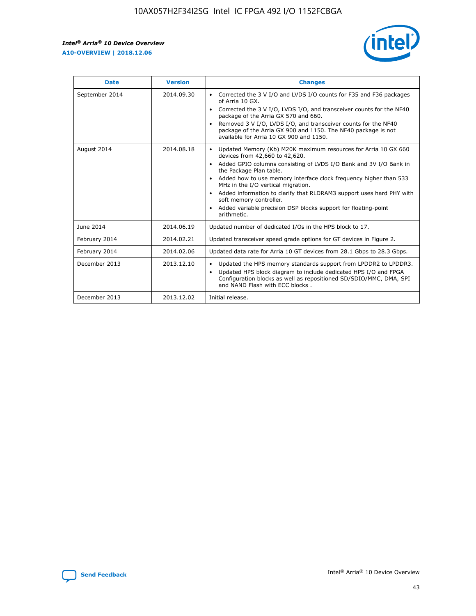r



| <b>Date</b>    | <b>Version</b> | <b>Changes</b>                                                                                                                                                                                                                                                                                                                                                                                                                                                                                                                                      |
|----------------|----------------|-----------------------------------------------------------------------------------------------------------------------------------------------------------------------------------------------------------------------------------------------------------------------------------------------------------------------------------------------------------------------------------------------------------------------------------------------------------------------------------------------------------------------------------------------------|
| September 2014 | 2014.09.30     | Corrected the 3 V I/O and LVDS I/O counts for F35 and F36 packages<br>$\bullet$<br>of Arria 10 GX.<br>Corrected the 3 V I/O, LVDS I/O, and transceiver counts for the NF40<br>$\bullet$<br>package of the Arria GX 570 and 660.<br>Removed 3 V I/O, LVDS I/O, and transceiver counts for the NF40<br>package of the Arria GX 900 and 1150. The NF40 package is not<br>available for Arria 10 GX 900 and 1150.                                                                                                                                       |
| August 2014    | 2014.08.18     | Updated Memory (Kb) M20K maximum resources for Arria 10 GX 660<br>devices from 42,660 to 42,620.<br>Added GPIO columns consisting of LVDS I/O Bank and 3V I/O Bank in<br>$\bullet$<br>the Package Plan table.<br>Added how to use memory interface clock frequency higher than 533<br>$\bullet$<br>MHz in the I/O vertical migration.<br>Added information to clarify that RLDRAM3 support uses hard PHY with<br>$\bullet$<br>soft memory controller.<br>Added variable precision DSP blocks support for floating-point<br>$\bullet$<br>arithmetic. |
| June 2014      | 2014.06.19     | Updated number of dedicated I/Os in the HPS block to 17.                                                                                                                                                                                                                                                                                                                                                                                                                                                                                            |
| February 2014  | 2014.02.21     | Updated transceiver speed grade options for GT devices in Figure 2.                                                                                                                                                                                                                                                                                                                                                                                                                                                                                 |
| February 2014  | 2014.02.06     | Updated data rate for Arria 10 GT devices from 28.1 Gbps to 28.3 Gbps.                                                                                                                                                                                                                                                                                                                                                                                                                                                                              |
| December 2013  | 2013.12.10     | Updated the HPS memory standards support from LPDDR2 to LPDDR3.<br>Updated HPS block diagram to include dedicated HPS I/O and FPGA<br>$\bullet$<br>Configuration blocks as well as repositioned SD/SDIO/MMC, DMA, SPI<br>and NAND Flash with ECC blocks.                                                                                                                                                                                                                                                                                            |
| December 2013  | 2013.12.02     | Initial release.                                                                                                                                                                                                                                                                                                                                                                                                                                                                                                                                    |